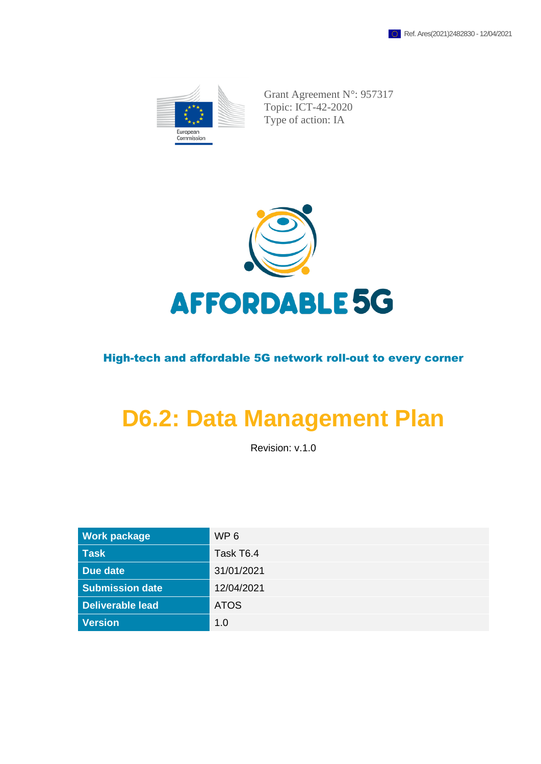

Grant Agreement N°: 957317 Topic: ICT-42-2020 Type of action: IA



### High-tech and affordable 5G network roll-out to every corner

# **D6.2: Data Management Plan**

Revision: v.1.0

| <b>Work package</b>     | WP <sub>6</sub> |
|-------------------------|-----------------|
| <b>Task</b>             | Task T6.4       |
| Due date                | 31/01/2021      |
| <b>Submission date</b>  | 12/04/2021      |
| <b>Deliverable lead</b> | <b>ATOS</b>     |
| <b>Version</b>          | 1.0             |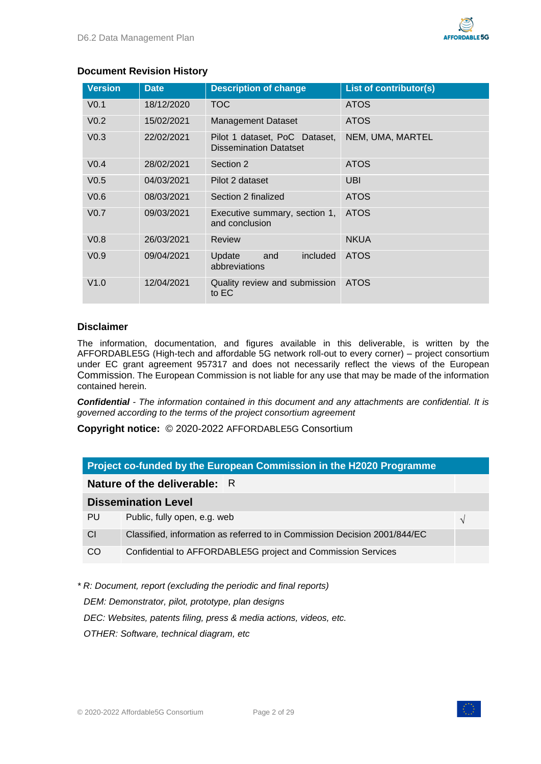#### **Document Revision History**

| <b>Version</b>   | <b>Date</b> | <b>Description of change</b>                                   | <b>List of contributor(s)</b> |
|------------------|-------------|----------------------------------------------------------------|-------------------------------|
| V <sub>0.1</sub> | 18/12/2020  | <b>TOC</b>                                                     | <b>ATOS</b>                   |
| V <sub>0.2</sub> | 15/02/2021  | <b>Management Dataset</b>                                      | <b>ATOS</b>                   |
| V <sub>0.3</sub> | 22/02/2021  | Pilot 1 dataset, PoC Dataset,<br><b>Dissemination Datatset</b> | NEM, UMA, MARTEL              |
| V <sub>0.4</sub> | 28/02/2021  | Section 2                                                      | <b>ATOS</b>                   |
| V <sub>0.5</sub> | 04/03/2021  | Pilot 2 dataset                                                | UBI                           |
| V <sub>0.6</sub> | 08/03/2021  | Section 2 finalized                                            | <b>ATOS</b>                   |
| V <sub>0.7</sub> | 09/03/2021  | Executive summary, section 1,<br>and conclusion                | <b>ATOS</b>                   |
| V <sub>0.8</sub> | 26/03/2021  | Review                                                         | <b>NKUA</b>                   |
| V <sub>0.9</sub> | 09/04/2021  | included<br>Update<br>and<br>abbreviations                     | <b>ATOS</b>                   |
| V1.0             | 12/04/2021  | Quality review and submission<br>to EC                         | <b>ATOS</b>                   |

#### **Disclaimer**

The information, documentation, and figures available in this deliverable, is written by the AFFORDABLE5G (High-tech and affordable 5G network roll-out to every corner) – project consortium under EC grant agreement 957317 and does not necessarily reflect the views of the European Commission. The European Commission is not liable for any use that may be made of the information contained herein.

*Confidential - The information contained in this document and any attachments are confidential. It is governed according to the terms of the project consortium agreement*

**Copyright notice:** © 2020-2022 AFFORDABLE5G Consortium

|                              | Project co-funded by the European Commission in the H2020 Programme       |  |  |
|------------------------------|---------------------------------------------------------------------------|--|--|
| Nature of the deliverable: R |                                                                           |  |  |
|                              | <b>Dissemination Level</b>                                                |  |  |
| PU                           | Public, fully open, e.g. web<br>$\sqrt{ }$                                |  |  |
| <b>CI</b>                    | Classified, information as referred to in Commission Decision 2001/844/EC |  |  |
| CO                           | Confidential to AFFORDABLE5G project and Commission Services              |  |  |

*\* R: Document, report (excluding the periodic and final reports)*

*DEM: Demonstrator, pilot, prototype, plan designs* 

*DEC: Websites, patents filing, press & media actions, videos, etc.*

*OTHER: Software, technical diagram, etc*

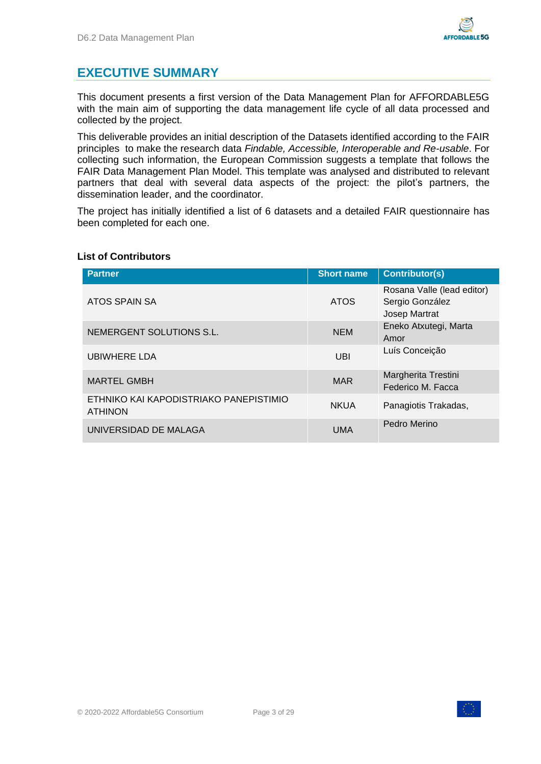### <span id="page-2-0"></span>**EXECUTIVE SUMMARY**

This document presents a first version of the Data Management Plan for AFFORDABLE5G with the main aim of supporting the data management life cycle of all data processed and collected by the project.

This deliverable provides an initial description of the Datasets identified according to the FAIR principles to make the research data *Findable, Accessible, Interoperable and Re-usable*. For collecting such information, the European Commission suggests a template that follows the FAIR Data Management Plan Model. This template was analysed and distributed to relevant partners that deal with several data aspects of the project: the pilot's partners, the dissemination leader, and the coordinator.

The project has initially identified a list of 6 datasets and a detailed FAIR questionnaire has been completed for each one.

| <b>Partner</b>                                           | <b>Short name</b> | <b>Contributor(s)</b>                                          |
|----------------------------------------------------------|-------------------|----------------------------------------------------------------|
| ATOS SPAIN SA                                            | <b>ATOS</b>       | Rosana Valle (lead editor)<br>Sergio González<br>Josep Martrat |
| NEMERGENT SOLUTIONS S.L.                                 | <b>NEM</b>        | Eneko Atxutegi, Marta<br>Amor                                  |
| <b>UBIWHERE LDA</b>                                      | UBI               | Luís Conceição                                                 |
| <b>MARTEL GMBH</b>                                       | <b>MAR</b>        | Margherita Trestini<br>Federico M. Facca                       |
| ETHNIKO KAI KAPODISTRIAKO PANEPISTIMIO<br><b>ATHINON</b> | <b>NKUA</b>       | Panagiotis Trakadas,                                           |
| UNIVERSIDAD DE MALAGA                                    | <b>UMA</b>        | Pedro Merino                                                   |

#### **List of Contributors**

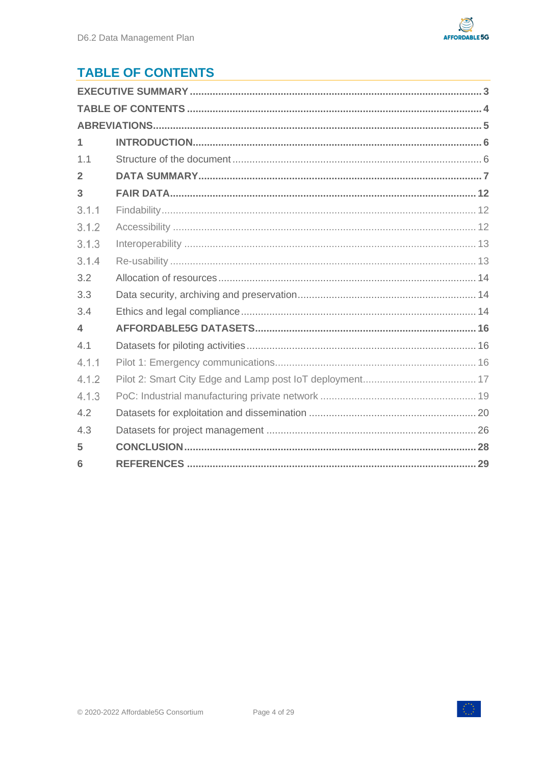

# <span id="page-3-0"></span>**TABLE OF CONTENTS**

| $\mathbf 1$    |  |  |  |
|----------------|--|--|--|
| 1.1            |  |  |  |
| $\overline{2}$ |  |  |  |
| 3              |  |  |  |
| 3.1.1          |  |  |  |
| 3.1.2          |  |  |  |
| 3.1.3          |  |  |  |
| 3.1.4          |  |  |  |
| 3.2            |  |  |  |
| 3.3            |  |  |  |
| 3.4            |  |  |  |
| 4              |  |  |  |
| 4.1            |  |  |  |
| 4.1.1          |  |  |  |
| 4.1.2          |  |  |  |
| 4.1.3          |  |  |  |
| 4.2            |  |  |  |
| 4.3            |  |  |  |
| 5              |  |  |  |
| 6              |  |  |  |



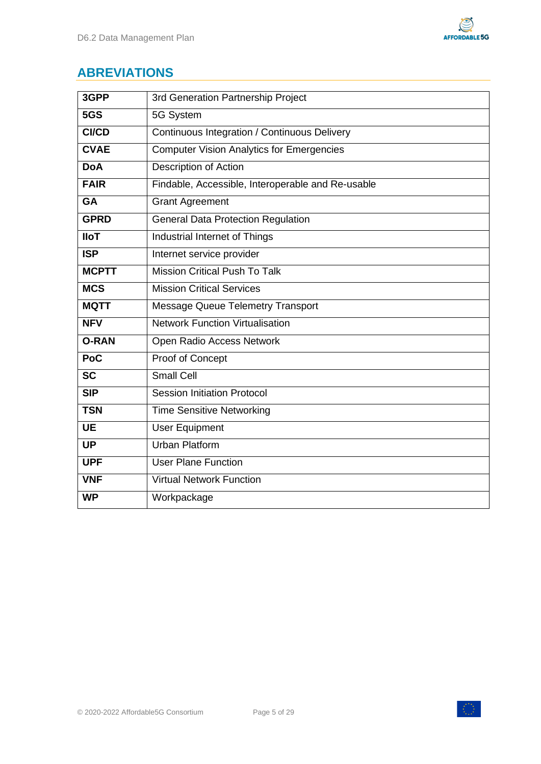

# <span id="page-4-0"></span>**ABREVIATIONS**

| 3GPP         | 3rd Generation Partnership Project                |
|--------------|---------------------------------------------------|
| 5GS          | 5G System                                         |
| <b>CI/CD</b> | Continuous Integration / Continuous Delivery      |
| <b>CVAE</b>  | <b>Computer Vision Analytics for Emergencies</b>  |
| <b>DoA</b>   | <b>Description of Action</b>                      |
| <b>FAIR</b>  | Findable, Accessible, Interoperable and Re-usable |
| <b>GA</b>    | <b>Grant Agreement</b>                            |
| <b>GPRD</b>  | <b>General Data Protection Regulation</b>         |
| <b>IloT</b>  | Industrial Internet of Things                     |
| <b>ISP</b>   | Internet service provider                         |
| <b>MCPTT</b> | Mission Critical Push To Talk                     |
| <b>MCS</b>   | <b>Mission Critical Services</b>                  |
| <b>MQTT</b>  | <b>Message Queue Telemetry Transport</b>          |
| <b>NFV</b>   | <b>Network Function Virtualisation</b>            |
| <b>O-RAN</b> | Open Radio Access Network                         |
| Poc          | Proof of Concept                                  |
| <b>SC</b>    | <b>Small Cell</b>                                 |
| SIP          | <b>Session Initiation Protocol</b>                |
| <b>TSN</b>   | <b>Time Sensitive Networking</b>                  |
| <b>UE</b>    | <b>User Equipment</b>                             |
| <b>UP</b>    | <b>Urban Platform</b>                             |
| <b>UPF</b>   | <b>User Plane Function</b>                        |
| <b>VNF</b>   | <b>Virtual Network Function</b>                   |
| <b>WP</b>    | Workpackage                                       |



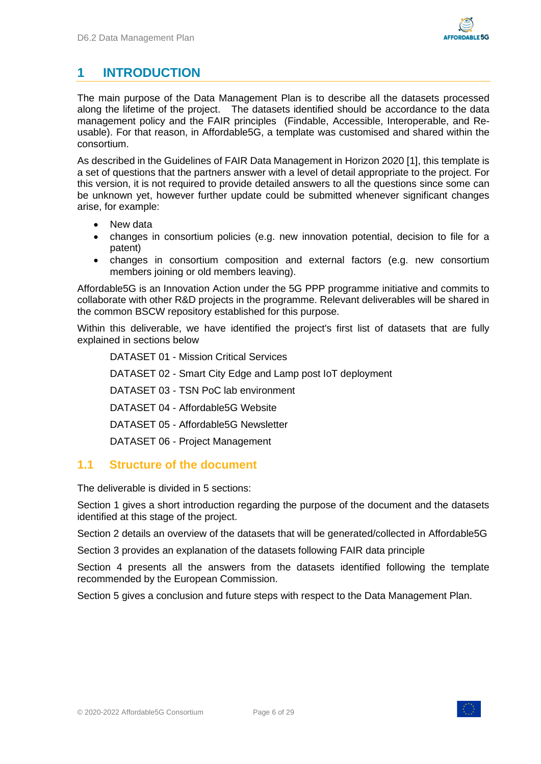### <span id="page-5-0"></span>**1 INTRODUCTION**

The main purpose of the Data Management Plan is to describe all the datasets processed along the lifetime of the project. The datasets identified should be accordance to the data management policy and the FAIR principles (Findable, Accessible, Interoperable, and Reusable). For that reason, in Affordable5G, a template was customised and shared within the consortium.

As described in the Guidelines of FAIR Data Management in Horizon 2020 [\[1\],](#page-28-1) this template is a set of questions that the partners answer with a level of detail appropriate to the project. For this version, it is not required to provide detailed answers to all the questions since some can be unknown yet, however further update could be submitted whenever significant changes arise, for example:

- New data
- changes in consortium policies (e.g. new innovation potential, decision to file for a patent)
- changes in consortium composition and external factors (e.g. new consortium members joining or old members leaving).

Affordable5G is an Innovation Action under the 5G PPP programme initiative and commits to collaborate with other R&D projects in the programme. Relevant deliverables will be shared in the common BSCW repository established for this purpose.

Within this deliverable, we have identified the project's first list of datasets that are fully explained in sections below

DATASET 01 - Mission Critical Services DATASET 02 - Smart City Edge and Lamp post IoT deployment DATASET 03 - TSN PoC lab environment DATASET 04 - Affordable5G Website DATASET 05 - Affordable5G Newsletter DATASET 06 - Project Management

### <span id="page-5-1"></span>**1.1 Structure of the document**

The deliverable is divided in 5 sections:

Section [1](#page-5-0) gives a short introduction regarding the purpose of the document and the datasets identified at this stage of the project.

Section [2](#page-6-0) details an overview of the datasets that will be generated/collected in Affordable5G

Section [3](#page-11-0) provides an explanation of the datasets following FAIR data principle

Section [4](#page-15-0) presents all the answers from the datasets identified following the template recommended by the European Commission.

Section [5](#page-27-0) gives a conclusion and future steps with respect to the Data Management Plan.

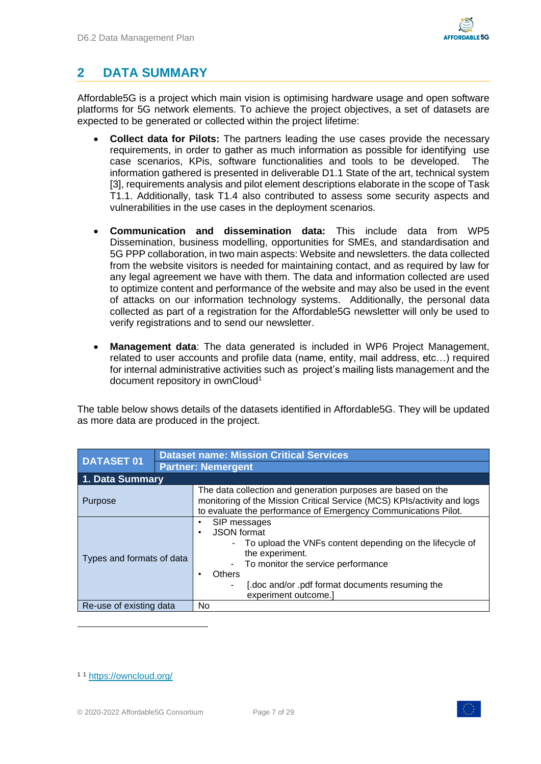# <span id="page-6-0"></span>**2 DATA SUMMARY**

Affordable5G is a project which main vision is optimising hardware usage and open software platforms for 5G network elements. To achieve the project objectives, a set of datasets are expected to be generated or collected within the project lifetime:

- **Collect data for Pilots:** The partners leading the use cases provide the necessary requirements, in order to gather as much information as possible for identifying use case scenarios, KPis, software functionalities and tools to be developed. The information gathered is presented in deliverable D1.1 State of the art, technical system [\[3\],](#page-28-2) requirements analysis and pilot element descriptions elaborate in the scope of Task T1.1. Additionally, task T1.4 also contributed to assess some security aspects and vulnerabilities in the use cases in the deployment scenarios.
- **Communication and dissemination data:** This include data from WP5 Dissemination, business modelling, opportunities for SMEs, and standardisation and 5G PPP collaboration, in two main aspects: Website and newsletters. the data collected from the website visitors is needed for maintaining contact, and as required by law for any legal agreement we have with them. The data and information collected are used to optimize content and performance of the website and may also be used in the event of attacks on our information technology systems. Additionally, the personal data collected as part of a registration for the Affordable5G newsletter will only be used to verify registrations and to send our newsletter.
- **Management data**: The data generated is included in WP6 Project Management, related to user accounts and profile data (name, entity, mail address, etc…) required for internal administrative activities such as project's mailing lists management and the document repository in ownCloud<sup>1</sup>

The table below shows details of the datasets identified in Affordable5G. They will be updated as more data are produced in the project.

| <b>DATASET 01</b>         |  | <b>Dataset name: Mission Critical Services</b>                                                                                                                                                                                                    |
|---------------------------|--|---------------------------------------------------------------------------------------------------------------------------------------------------------------------------------------------------------------------------------------------------|
|                           |  | <b>Partner: Nemergent</b>                                                                                                                                                                                                                         |
| 1. Data Summary           |  |                                                                                                                                                                                                                                                   |
| <b>Purpose</b>            |  | The data collection and generation purposes are based on the<br>monitoring of the Mission Critical Service (MCS) KPIs/activity and logs<br>to evaluate the performance of Emergency Communications Pilot.                                         |
| Types and formats of data |  | SIP messages<br><b>JSON</b> format<br>٠<br>To upload the VNFs content depending on the lifecycle of<br>the experiment.<br>To monitor the service performance<br>Others<br>[.doc and/or .pdf format documents resuming the<br>experiment outcome.] |
| Re-use of existing data   |  | No                                                                                                                                                                                                                                                |

<sup>1</sup> <sup>1</sup> <https://owncloud.org/>

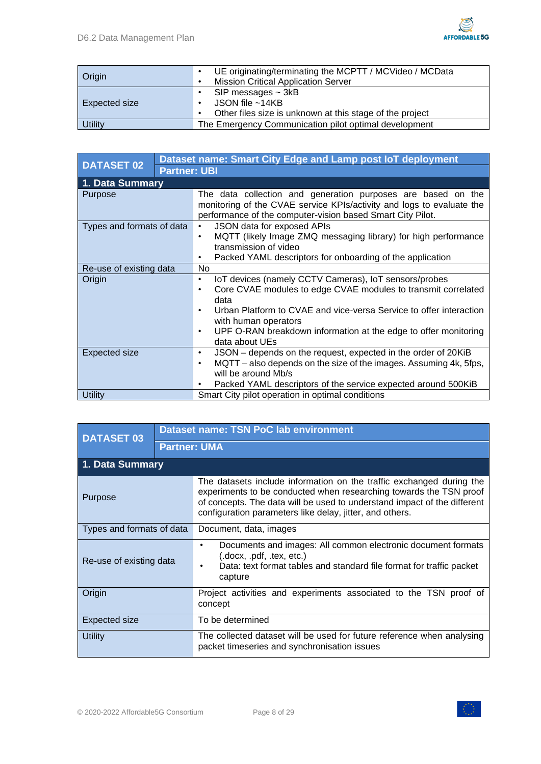

| Origin         | UE originating/terminating the MCPTT / MCVideo / MCData<br><b>Mission Critical Application Server</b>    |
|----------------|----------------------------------------------------------------------------------------------------------|
| Expected size  | SIP messages $\sim$ 3kB<br>JSON file $~14KB$<br>Other files size is unknown at this stage of the project |
| <b>Utility</b> | The Emergency Communication pilot optimal development                                                    |

| <b>DATASET 02</b>         |  | Dataset name: Smart City Edge and Lamp post IoT deployment                                                                                                                                          |
|---------------------------|--|-----------------------------------------------------------------------------------------------------------------------------------------------------------------------------------------------------|
| <b>Partner: UBI</b>       |  |                                                                                                                                                                                                     |
| 1. Data Summary           |  |                                                                                                                                                                                                     |
| Purpose                   |  | The data collection and generation purposes are based on the<br>monitoring of the CVAE service KPIs/activity and logs to evaluate the<br>performance of the computer-vision based Smart City Pilot. |
| Types and formats of data |  | JSON data for exposed APIs<br>$\bullet$                                                                                                                                                             |
|                           |  | MQTT (likely Image ZMQ messaging library) for high performance<br>٠                                                                                                                                 |
|                           |  | transmission of video                                                                                                                                                                               |
|                           |  | Packed YAML descriptors for onboarding of the application<br>٠                                                                                                                                      |
| Re-use of existing data   |  | <b>No</b>                                                                                                                                                                                           |
| Origin                    |  | IoT devices (namely CCTV Cameras), IoT sensors/probes<br>٠                                                                                                                                          |
|                           |  | Core CVAE modules to edge CVAE modules to transmit correlated<br>٠                                                                                                                                  |
|                           |  | data                                                                                                                                                                                                |
|                           |  | Urban Platform to CVAE and vice-versa Service to offer interaction<br>$\bullet$<br>with human operators                                                                                             |
|                           |  | UPF O-RAN breakdown information at the edge to offer monitoring<br>٠                                                                                                                                |
|                           |  | data about UEs                                                                                                                                                                                      |
| Expected size             |  | JSON - depends on the request, expected in the order of 20KiB<br>$\bullet$                                                                                                                          |
|                           |  | MQTT – also depends on the size of the images. Assuming 4k, 5fps,<br>٠                                                                                                                              |
|                           |  | will be around Mb/s                                                                                                                                                                                 |
|                           |  | Packed YAML descriptors of the service expected around 500KiB<br>٠                                                                                                                                  |
| <b>Utility</b>            |  | Smart City pilot operation in optimal conditions                                                                                                                                                    |

| <b>DATASET 03</b>         | <b>Dataset name: TSN PoC lab environment</b> |                                                                                                                                                                                                                                                                                    |
|---------------------------|----------------------------------------------|------------------------------------------------------------------------------------------------------------------------------------------------------------------------------------------------------------------------------------------------------------------------------------|
| <b>Partner: UMA</b>       |                                              |                                                                                                                                                                                                                                                                                    |
| 1. Data Summary           |                                              |                                                                                                                                                                                                                                                                                    |
| Purpose                   |                                              | The datasets include information on the traffic exchanged during the<br>experiments to be conducted when researching towards the TSN proof<br>of concepts. The data will be used to understand impact of the different<br>configuration parameters like delay, jitter, and others. |
| Types and formats of data |                                              | Document, data, images                                                                                                                                                                                                                                                             |
| Re-use of existing data   |                                              | Documents and images: All common electronic document formats<br>$\bullet$<br>(docx, pdf, tex, etc.)<br>Data: text format tables and standard file format for traffic packet<br>capture                                                                                             |
| Origin                    |                                              | Project activities and experiments associated to the TSN proof of<br>concept                                                                                                                                                                                                       |
| Expected size             |                                              | To be determined                                                                                                                                                                                                                                                                   |
| Utility                   |                                              | The collected dataset will be used for future reference when analysing<br>packet timeseries and synchronisation issues                                                                                                                                                             |

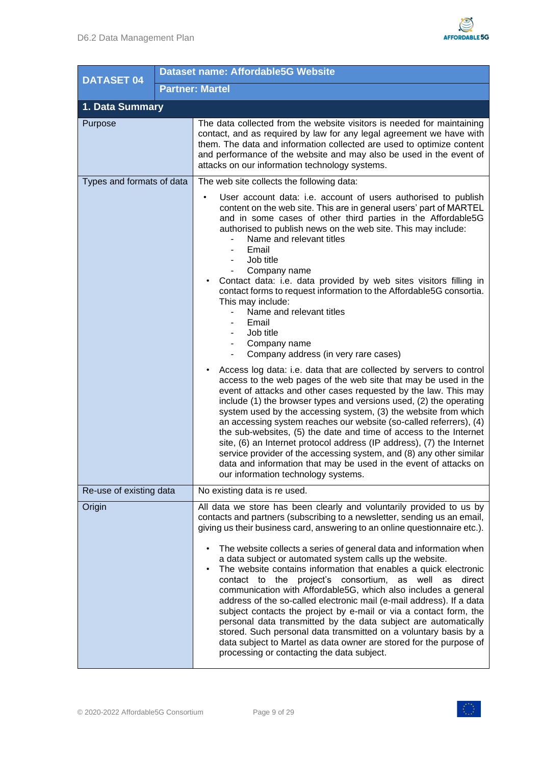

| <b>DATASET 04</b>         |  | Dataset name: Affordable5G Website                                                                                                                                                                                                                                                                                                                                                                                                                                                                                                                                                                                                                                                                                                                       |
|---------------------------|--|----------------------------------------------------------------------------------------------------------------------------------------------------------------------------------------------------------------------------------------------------------------------------------------------------------------------------------------------------------------------------------------------------------------------------------------------------------------------------------------------------------------------------------------------------------------------------------------------------------------------------------------------------------------------------------------------------------------------------------------------------------|
|                           |  | <b>Partner: Martel</b>                                                                                                                                                                                                                                                                                                                                                                                                                                                                                                                                                                                                                                                                                                                                   |
| 1. Data Summary           |  |                                                                                                                                                                                                                                                                                                                                                                                                                                                                                                                                                                                                                                                                                                                                                          |
| Purpose                   |  | The data collected from the website visitors is needed for maintaining<br>contact, and as required by law for any legal agreement we have with<br>them. The data and information collected are used to optimize content<br>and performance of the website and may also be used in the event of<br>attacks on our information technology systems.                                                                                                                                                                                                                                                                                                                                                                                                         |
| Types and formats of data |  | The web site collects the following data:                                                                                                                                                                                                                                                                                                                                                                                                                                                                                                                                                                                                                                                                                                                |
|                           |  | User account data: i.e. account of users authorised to publish<br>content on the web site. This are in general users' part of MARTEL<br>and in some cases of other third parties in the Affordable5G<br>authorised to publish news on the web site. This may include:<br>Name and relevant titles<br>Email<br>Job title<br>Company name<br>Contact data: i.e. data provided by web sites visitors filling in<br>contact forms to request information to the Affordable5G consortia.                                                                                                                                                                                                                                                                      |
|                           |  | This may include:<br>Name and relevant titles<br>Email<br>Job title<br>Company name<br>Company address (in very rare cases)<br>$\overline{\phantom{0}}$                                                                                                                                                                                                                                                                                                                                                                                                                                                                                                                                                                                                  |
|                           |  | Access log data: i.e. data that are collected by servers to control<br>access to the web pages of the web site that may be used in the<br>event of attacks and other cases requested by the law. This may<br>include (1) the browser types and versions used, (2) the operating<br>system used by the accessing system, (3) the website from which<br>an accessing system reaches our website (so-called referrers), (4)<br>the sub-websites, (5) the date and time of access to the Internet<br>site, (6) an Internet protocol address (IP address), (7) the Internet<br>service provider of the accessing system, and (8) any other similar<br>data and information that may be used in the event of attacks on<br>our information technology systems. |
| Re-use of existing data   |  | No existing data is re used.                                                                                                                                                                                                                                                                                                                                                                                                                                                                                                                                                                                                                                                                                                                             |
| Origin                    |  | All data we store has been clearly and voluntarily provided to us by<br>contacts and partners (subscribing to a newsletter, sending us an email,<br>giving us their business card, answering to an online questionnaire etc.).<br>The website collects a series of general data and information when                                                                                                                                                                                                                                                                                                                                                                                                                                                     |
|                           |  | a data subject or automated system calls up the website.<br>The website contains information that enables a quick electronic<br>contact to the project's consortium, as well as direct<br>communication with Affordable5G, which also includes a general<br>address of the so-called electronic mail (e-mail address). If a data<br>subject contacts the project by e-mail or via a contact form, the<br>personal data transmitted by the data subject are automatically<br>stored. Such personal data transmitted on a voluntary basis by a<br>data subject to Martel as data owner are stored for the purpose of<br>processing or contacting the data subject.                                                                                         |

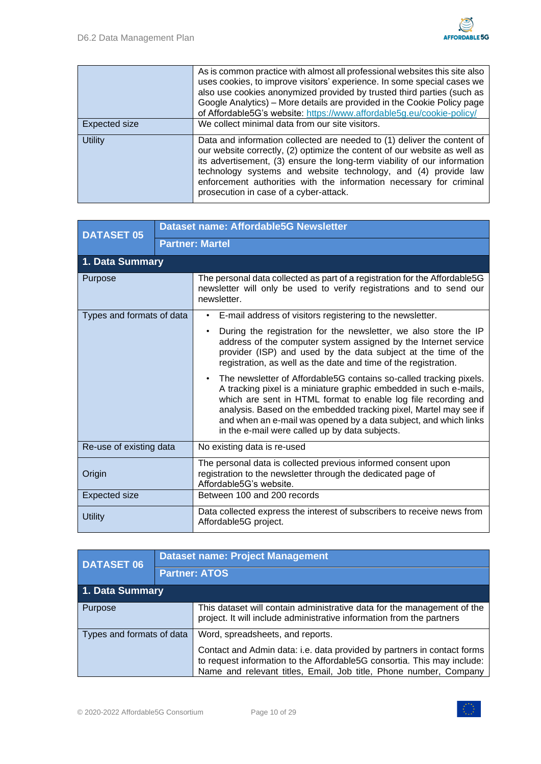|                | As is common practice with almost all professional websites this site also<br>uses cookies, to improve visitors' experience. In some special cases we<br>also use cookies anonymized provided by trusted third parties (such as<br>Google Analytics) - More details are provided in the Cookie Policy page<br>of Affordable5G's website: https://www.affordable5g.eu/cookie-policy/                                 |
|----------------|---------------------------------------------------------------------------------------------------------------------------------------------------------------------------------------------------------------------------------------------------------------------------------------------------------------------------------------------------------------------------------------------------------------------|
| Expected size  | We collect minimal data from our site visitors.                                                                                                                                                                                                                                                                                                                                                                     |
| <b>Utility</b> | Data and information collected are needed to (1) deliver the content of<br>our website correctly, (2) optimize the content of our website as well as<br>its advertisement, (3) ensure the long-term viability of our information<br>technology systems and website technology, and (4) provide law<br>enforcement authorities with the information necessary for criminal<br>prosecution in case of a cyber-attack. |

| <b>DATASET 05</b>         | Dataset name: Affordable5G Newsletter |                                                                                                                                                                                                                                                                                                                                                                                                      |  |  |  |
|---------------------------|---------------------------------------|------------------------------------------------------------------------------------------------------------------------------------------------------------------------------------------------------------------------------------------------------------------------------------------------------------------------------------------------------------------------------------------------------|--|--|--|
|                           |                                       | <b>Partner: Martel</b>                                                                                                                                                                                                                                                                                                                                                                               |  |  |  |
| 1. Data Summary           |                                       |                                                                                                                                                                                                                                                                                                                                                                                                      |  |  |  |
| <b>Purpose</b>            |                                       | The personal data collected as part of a registration for the Affordable5G<br>newsletter will only be used to verify registrations and to send our<br>newsletter.                                                                                                                                                                                                                                    |  |  |  |
| Types and formats of data |                                       | E-mail address of visitors registering to the newsletter.                                                                                                                                                                                                                                                                                                                                            |  |  |  |
|                           |                                       | During the registration for the newsletter, we also store the IP<br>$\bullet$<br>address of the computer system assigned by the Internet service<br>provider (ISP) and used by the data subject at the time of the<br>registration, as well as the date and time of the registration.                                                                                                                |  |  |  |
|                           |                                       | The newsletter of Affordable5G contains so-called tracking pixels.<br>A tracking pixel is a miniature graphic embedded in such e-mails,<br>which are sent in HTML format to enable log file recording and<br>analysis. Based on the embedded tracking pixel, Martel may see if<br>and when an e-mail was opened by a data subject, and which links<br>in the e-mail were called up by data subjects. |  |  |  |
| Re-use of existing data   |                                       | No existing data is re-used                                                                                                                                                                                                                                                                                                                                                                          |  |  |  |
| Origin                    |                                       | The personal data is collected previous informed consent upon<br>registration to the newsletter through the dedicated page of<br>Affordable5G's website.                                                                                                                                                                                                                                             |  |  |  |
| <b>Expected size</b>      |                                       | Between 100 and 200 records                                                                                                                                                                                                                                                                                                                                                                          |  |  |  |
| <b>Utility</b>            |                                       | Data collected express the interest of subscribers to receive news from<br>Affordable5G project.                                                                                                                                                                                                                                                                                                     |  |  |  |

| <b>DATASET 06</b>         | <b>Dataset name: Project Management</b> |                                                                                                                                                                                                                                                             |  |  |
|---------------------------|-----------------------------------------|-------------------------------------------------------------------------------------------------------------------------------------------------------------------------------------------------------------------------------------------------------------|--|--|
|                           | <b>Partner: ATOS</b>                    |                                                                                                                                                                                                                                                             |  |  |
| 1. Data Summary           |                                         |                                                                                                                                                                                                                                                             |  |  |
| Purpose                   |                                         | This dataset will contain administrative data for the management of the<br>project. It will include administrative information from the partners                                                                                                            |  |  |
| Types and formats of data |                                         | Word, spreadsheets, and reports.<br>Contact and Admin data: i.e. data provided by partners in contact forms<br>to request information to the Affordable5G consortia. This may include:<br>Name and relevant titles, Email, Job title, Phone number, Company |  |  |

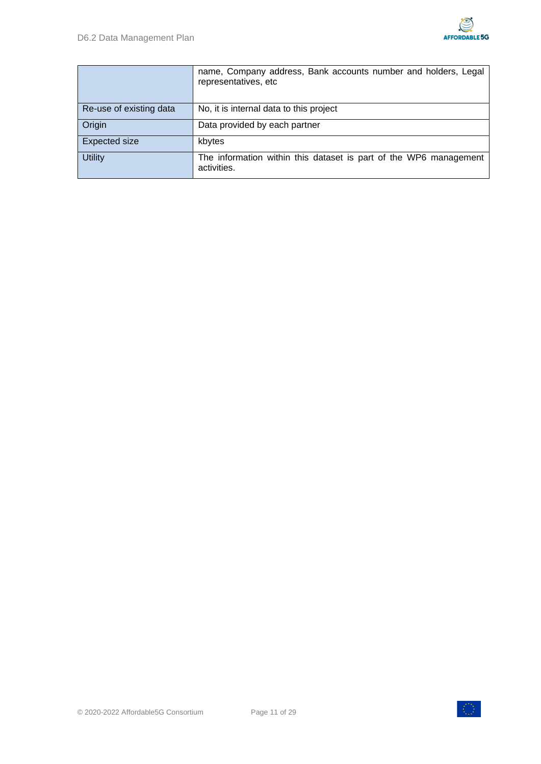|                         | name, Company address, Bank accounts number and holders, Legal<br>representatives, etc |
|-------------------------|----------------------------------------------------------------------------------------|
| Re-use of existing data | No, it is internal data to this project                                                |
| Origin                  | Data provided by each partner                                                          |
| Expected size           | kbytes                                                                                 |
| <b>Utility</b>          | The information within this dataset is part of the WP6 management<br>activities.       |

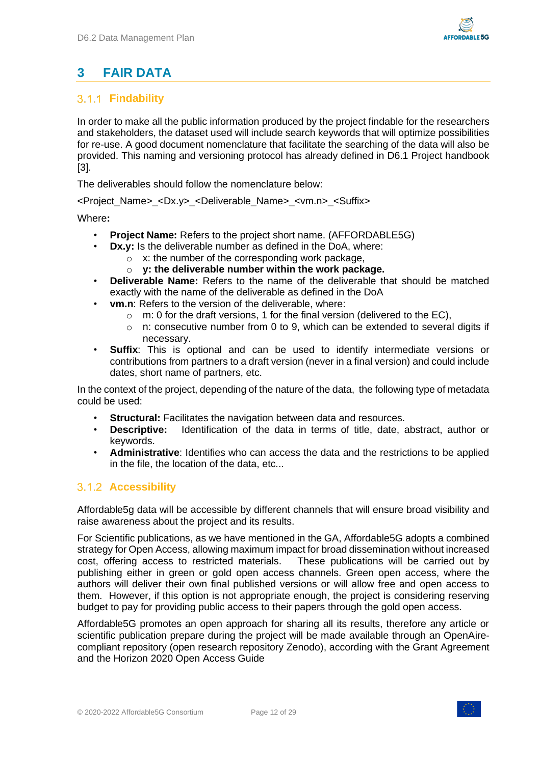## <span id="page-11-0"></span>**3 FAIR DATA**

### <span id="page-11-1"></span>**Findability**

In order to make all the public information produced by the project findable for the researchers and stakeholders, the dataset used will include search keywords that will optimize possibilities for re-use. A good document nomenclature that facilitate the searching of the data will also be provided. This naming and versioning protocol has already defined in D6.1 Project handbook [\[3\].](#page-28-2)

The deliverables should follow the nomenclature below:

<Project\_Name>\_<Dx.y>\_<Deliverable\_Name>\_<vm.n>\_<Suffix>

Where**:**

- **Project Name:** Refers to the project short name. (AFFORDABLE5G)
- **Dx.y:** Is the deliverable number as defined in the DoA, where:
	- $\sim$  x: the number of the corresponding work package,
	- o **y: the deliverable number within the work package.**
- **Deliverable Name:** Refers to the name of the deliverable that should be matched exactly with the name of the deliverable as defined in the DoA
- **vm.n**: Refers to the version of the deliverable, where:
	- $\circ$  m: 0 for the draft versions, 1 for the final version (delivered to the EC),
	- o n: consecutive number from 0 to 9, which can be extended to several digits if necessary.
- **Suffix**: This is optional and can be used to identify intermediate versions or contributions from partners to a draft version (never in a final version) and could include dates, short name of partners, etc.

In the context of the project, depending of the nature of the data, the following type of metadata could be used:

- **Structural:** Facilitates the navigation between data and resources.
- **Descriptive:** Identification of the data in terms of title, date, abstract, author or keywords.
- **Administrative**: Identifies who can access the data and the restrictions to be applied in the file, the location of the data, etc...

#### <span id="page-11-2"></span>**Accessibility**

Affordable5g data will be accessible by different channels that will ensure broad visibility and raise awareness about the project and its results.

For Scientific publications, as we have mentioned in the GA, Affordable5G adopts a combined strategy for Open Access, allowing maximum impact for broad dissemination without increased cost, offering access to restricted materials. These publications will be carried out by publishing either in green or gold open access channels. Green open access, where the authors will deliver their own final published versions or will allow free and open access to them. However, if this option is not appropriate enough, the project is considering reserving budget to pay for providing public access to their papers through the gold open access.

Affordable5G promotes an open approach for sharing all its results, therefore any article or scientific publication prepare during the project will be made available through an OpenAirecompliant repository (open research repository Zenodo), according with the Grant Agreement and the Horizon 2020 Open Access Guide

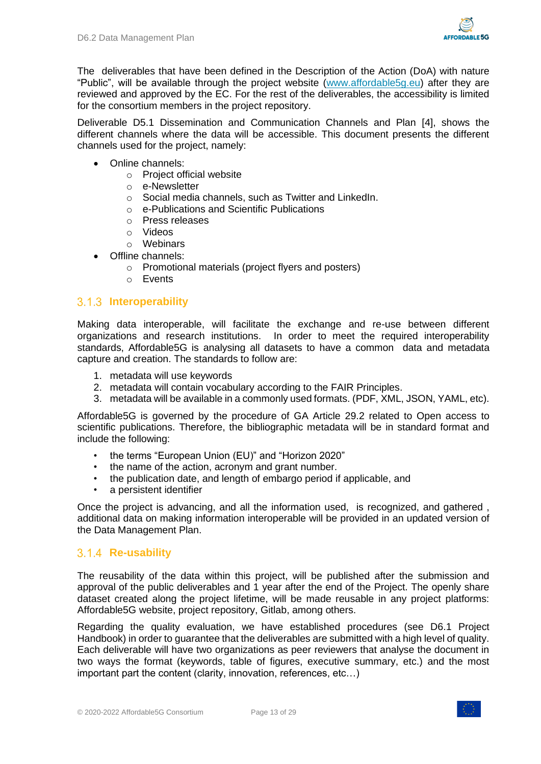

The deliverables that have been defined in the Description of the Action (DoA) with nature "Public", will be available through the project website [\(www.affordable5g.eu\)](http://www.affordable5g.eu/) after they are reviewed and approved by the EC. For the rest of the deliverables, the accessibility is limited for the consortium members in the project repository.

Deliverable D5.1 Dissemination and Communication Channels and Plan [\[4\],](#page-28-3) shows the different channels where the data will be accessible. This document presents the different channels used for the project, namely:

- Online channels:
	- o Project official website
	- o e-Newsletter
	- o Social media channels, such as Twitter and LinkedIn.
	- o e-Publications and Scientific Publications
	- o Press releases
	- o Videos
	- o Webinars
- Offline channels:
	- o Promotional materials (project flyers and posters)
	- o Events

#### <span id="page-12-0"></span>**Interoperability**

Making data interoperable, will facilitate the exchange and re-use between different organizations and research institutions. In order to meet the required interoperability standards, Affordable5G is analysing all datasets to have a common data and metadata capture and creation. The standards to follow are:

- 1. metadata will use keywords
- 2. metadata will contain vocabulary according to the FAIR Principles.
- 3. metadata will be available in a commonly used formats. (PDF, XML, JSON, YAML, etc).

Affordable5G is governed by the procedure of GA Article 29.2 related to Open access to scientific publications. Therefore, the bibliographic metadata will be in standard format and include the following:

- the terms "European Union (EU)" and "Horizon 2020"
- the name of the action, acronym and grant number.
- the publication date, and length of embargo period if applicable, and
- a persistent identifier

Once the project is advancing, and all the information used, is recognized, and gathered , additional data on making information interoperable will be provided in an updated version of the Data Management Plan.

#### <span id="page-12-1"></span>**Re-usability**

The reusability of the data within this project, will be published after the submission and approval of the public deliverables and 1 year after the end of the Project. The openly share dataset created along the project lifetime, will be made reusable in any project platforms: Affordable5G website, project repository, Gitlab, among others.

Regarding the quality evaluation, we have established procedures (see D6.1 Project Handbook) in order to guarantee that the deliverables are submitted with a high level of quality. Each deliverable will have two organizations as peer reviewers that analyse the document in two ways the format (keywords, table of figures, executive summary, etc.) and the most important part the content (clarity, innovation, references, etc…)

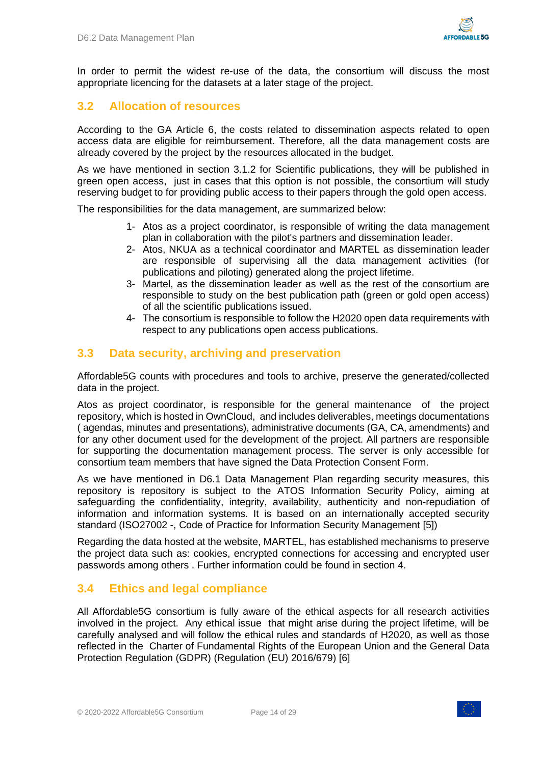

In order to permit the widest re-use of the data, the consortium will discuss the most appropriate licencing for the datasets at a later stage of the project.

### <span id="page-13-0"></span>**3.2 Allocation of resources**

According to the GA Article 6, the costs related to dissemination aspects related to open access data are eligible for reimbursement. Therefore, all the data management costs are already covered by the project by the resources allocated in the budget.

As we have mentioned in section [3.1.2](#page-11-2) for Scientific publications, they will be published in green open access, just in cases that this option is not possible, the consortium will study reserving budget to for providing public access to their papers through the gold open access.

The responsibilities for the data management, are summarized below:

- 1- Atos as a project coordinator, is responsible of writing the data management plan in collaboration with the pilot's partners and dissemination leader.
- 2- Atos, NKUA as a technical coordinator and MARTEL as dissemination leader are responsible of supervising all the data management activities (for publications and piloting) generated along the project lifetime.
- 3- Martel, as the dissemination leader as well as the rest of the consortium are responsible to study on the best publication path (green or gold open access) of all the scientific publications issued.
- 4- The consortium is responsible to follow the H2020 open data requirements with respect to any publications open access publications.

### <span id="page-13-1"></span>**3.3 Data security, archiving and preservation**

Affordable5G counts with procedures and tools to archive, preserve the generated/collected data in the project.

Atos as project coordinator, is responsible for the general maintenance of the project repository, which is hosted in OwnCloud, and includes deliverables, meetings documentations ( agendas, minutes and presentations), administrative documents (GA, CA, amendments) and for any other document used for the development of the project. All partners are responsible for supporting the documentation management process. The server is only accessible for consortium team members that have signed the Data Protection Consent Form.

As we have mentioned in D6.1 Data Management Plan regarding security measures, this repository is repository is subject to the ATOS Information Security Policy, aiming at safeguarding the confidentiality, integrity, availability, authenticity and non-repudiation of information and information systems. It is based on an internationally accepted security standard (ISO27002 -, Code of Practice for Information Security Management [\[5\]\)](#page-28-4)

Regarding the data hosted at the website, MARTEL, has established mechanisms to preserve the project data such as: cookies, encrypted connections for accessing and encrypted user passwords among others . Further information could be found in section [4.](#page-15-0)

### <span id="page-13-2"></span>**3.4 Ethics and legal compliance**

All Affordable5G consortium is fully aware of the ethical aspects for all research activities involved in the project. Any ethical issue that might arise during the project lifetime, will be carefully analysed and will follow the ethical rules and standards of H2020, as well as those reflected in the Charter of Fundamental Rights of the European Union and the General Data Protection Regulation (GDPR) (Regulation (EU) 2016/679) [\[6\]](#page-28-5)

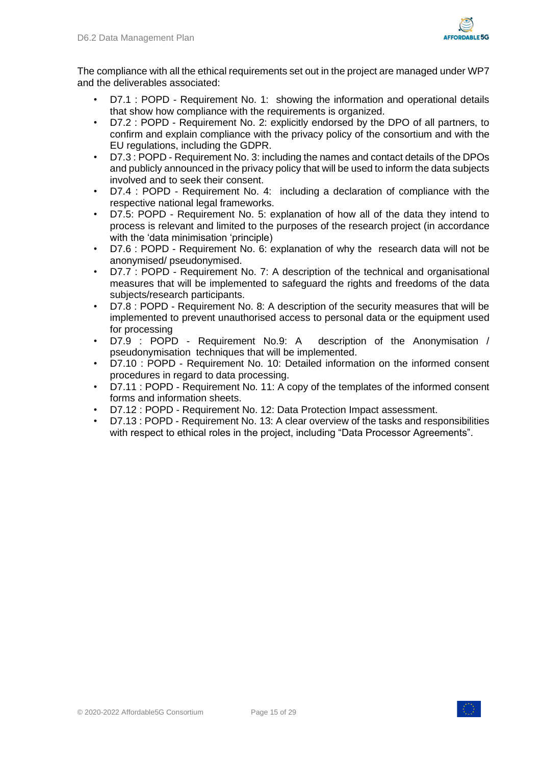

The compliance with all the ethical requirements set out in the project are managed under WP7 and the deliverables associated:

- D7.1 : POPD Requirement No. 1: showing the information and operational details that show how compliance with the requirements is organized.
- D7.2 : POPD Requirement No. 2: explicitly endorsed by the DPO of all partners, to confirm and explain compliance with the privacy policy of the consortium and with the EU regulations, including the GDPR.
- D7.3 : POPD Requirement No. 3: including the names and contact details of the DPOs and publicly announced in the privacy policy that will be used to inform the data subjects involved and to seek their consent.
- D7.4 : POPD Requirement No. 4: including a declaration of compliance with the respective national legal frameworks.
- D7.5: POPD Requirement No. 5: explanation of how all of the data they intend to process is relevant and limited to the purposes of the research project (in accordance with the 'data minimisation 'principle)
- D7.6 : POPD Requirement No. 6: explanation of why the research data will not be anonymised/ pseudonymised.
- D7.7 : POPD Requirement No. 7: A description of the technical and organisational measures that will be implemented to safeguard the rights and freedoms of the data subjects/research participants.
- D7.8 : POPD Requirement No. 8: A description of the security measures that will be implemented to prevent unauthorised access to personal data or the equipment used for processing
- D7.9 : POPD Requirement No.9: A description of the Anonymisation / pseudonymisation techniques that will be implemented.
- D7.10 : POPD Requirement No. 10: Detailed information on the informed consent procedures in regard to data processing.
- D7.11 : POPD Requirement No. 11: A copy of the templates of the informed consent forms and information sheets.
- D7.12 : POPD Requirement No. 12: Data Protection Impact assessment.
- D7.13 : POPD Requirement No. 13: A clear overview of the tasks and responsibilities with respect to ethical roles in the project, including "Data Processor Agreements".



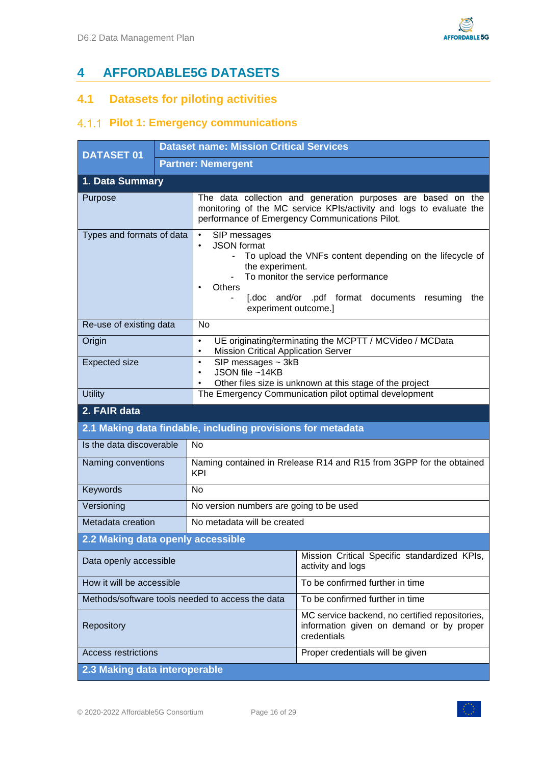# <span id="page-15-0"></span>**4 AFFORDABLE5G DATASETS**

### <span id="page-15-1"></span>**4.1 Datasets for piloting activities**

### <span id="page-15-2"></span>**4.1.1 Pilot 1: Emergency communications**

| <b>DATASET 01</b>                                |  | <b>Dataset name: Mission Critical Services</b>                                                                                                                                                                                                                                                                            |                                                                                                                                                                                       |  |  |
|--------------------------------------------------|--|---------------------------------------------------------------------------------------------------------------------------------------------------------------------------------------------------------------------------------------------------------------------------------------------------------------------------|---------------------------------------------------------------------------------------------------------------------------------------------------------------------------------------|--|--|
|                                                  |  | <b>Partner: Nemergent</b>                                                                                                                                                                                                                                                                                                 |                                                                                                                                                                                       |  |  |
| 1. Data Summary                                  |  |                                                                                                                                                                                                                                                                                                                           |                                                                                                                                                                                       |  |  |
| Purpose                                          |  |                                                                                                                                                                                                                                                                                                                           | The data collection and generation purposes are based on the<br>monitoring of the MC service KPIs/activity and logs to evaluate the<br>performance of Emergency Communications Pilot. |  |  |
| Types and formats of data                        |  | SIP messages<br>$\bullet$<br><b>JSON</b> format<br>$\bullet$<br>To upload the VNFs content depending on the lifecycle of<br>$\overline{\phantom{0}}$<br>the experiment.<br>To monitor the service performance<br><b>Others</b><br>$\bullet$<br>[.doc and/or .pdf format documents resuming<br>the<br>experiment outcome.] |                                                                                                                                                                                       |  |  |
| Re-use of existing data                          |  | <b>No</b>                                                                                                                                                                                                                                                                                                                 |                                                                                                                                                                                       |  |  |
| Origin                                           |  | UE originating/terminating the MCPTT / MCVideo / MCData<br>$\bullet$<br><b>Mission Critical Application Server</b><br>$\bullet$                                                                                                                                                                                           |                                                                                                                                                                                       |  |  |
| <b>Expected size</b>                             |  | SIP messages $\sim$ 3kB<br>$\bullet$<br>JSON file ~14KB<br>$\bullet$<br>Other files size is unknown at this stage of the project<br>$\bullet$                                                                                                                                                                             |                                                                                                                                                                                       |  |  |
| <b>Utility</b>                                   |  | The Emergency Communication pilot optimal development                                                                                                                                                                                                                                                                     |                                                                                                                                                                                       |  |  |
| 2. FAIR data                                     |  |                                                                                                                                                                                                                                                                                                                           |                                                                                                                                                                                       |  |  |
|                                                  |  | 2.1 Making data findable, including provisions for metadata                                                                                                                                                                                                                                                               |                                                                                                                                                                                       |  |  |
| Is the data discoverable                         |  | <b>No</b>                                                                                                                                                                                                                                                                                                                 |                                                                                                                                                                                       |  |  |
| Naming conventions                               |  | KPI                                                                                                                                                                                                                                                                                                                       | Naming contained in Rrelease R14 and R15 from 3GPP for the obtained                                                                                                                   |  |  |
| Keywords                                         |  | <b>No</b>                                                                                                                                                                                                                                                                                                                 |                                                                                                                                                                                       |  |  |
| Versioning                                       |  | No version numbers are going to be used                                                                                                                                                                                                                                                                                   |                                                                                                                                                                                       |  |  |
| Metadata creation                                |  | No metadata will be created                                                                                                                                                                                                                                                                                               |                                                                                                                                                                                       |  |  |
| 2.2 Making data openly accessible                |  |                                                                                                                                                                                                                                                                                                                           |                                                                                                                                                                                       |  |  |
| Data openly accessible                           |  |                                                                                                                                                                                                                                                                                                                           | Mission Critical Specific standardized KPIs,<br>activity and logs                                                                                                                     |  |  |
| How it will be accessible                        |  |                                                                                                                                                                                                                                                                                                                           | To be confirmed further in time                                                                                                                                                       |  |  |
| Methods/software tools needed to access the data |  |                                                                                                                                                                                                                                                                                                                           | To be confirmed further in time                                                                                                                                                       |  |  |
| Repository                                       |  |                                                                                                                                                                                                                                                                                                                           | MC service backend, no certified repositories,<br>information given on demand or by proper<br>credentials                                                                             |  |  |
| <b>Access restrictions</b>                       |  |                                                                                                                                                                                                                                                                                                                           | Proper credentials will be given                                                                                                                                                      |  |  |
| 2.3 Making data interoperable                    |  |                                                                                                                                                                                                                                                                                                                           |                                                                                                                                                                                       |  |  |

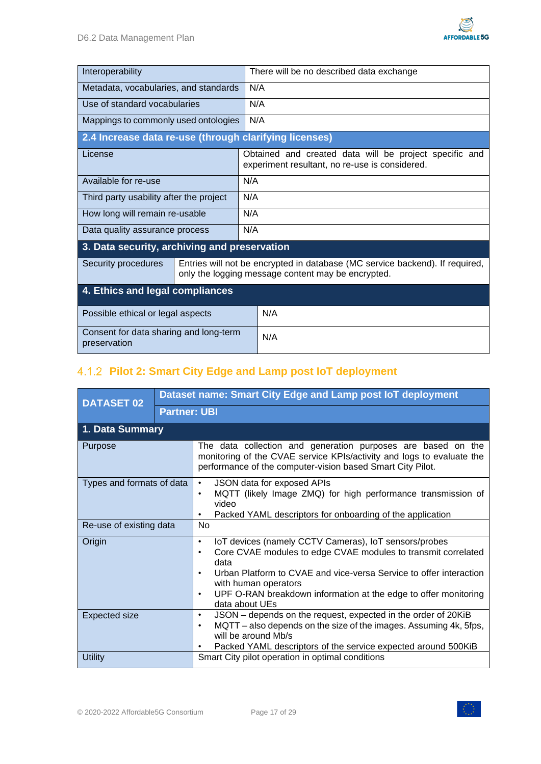

| Interoperability                                       |  | There will be no described data exchange                                                                                           |  |  |
|--------------------------------------------------------|--|------------------------------------------------------------------------------------------------------------------------------------|--|--|
| Metadata, vocabularies, and standards                  |  | N/A                                                                                                                                |  |  |
| Use of standard vocabularies                           |  | N/A                                                                                                                                |  |  |
| Mappings to commonly used ontologies                   |  | N/A                                                                                                                                |  |  |
| 2.4 Increase data re-use (through clarifying licenses) |  |                                                                                                                                    |  |  |
| License                                                |  | Obtained and created data will be project specific and<br>experiment resultant, no re-use is considered.                           |  |  |
| Available for re-use                                   |  | N/A                                                                                                                                |  |  |
| Third party usability after the project                |  | N/A                                                                                                                                |  |  |
| How long will remain re-usable                         |  | N/A                                                                                                                                |  |  |
| Data quality assurance process                         |  | N/A                                                                                                                                |  |  |
| 3. Data security, archiving and preservation           |  |                                                                                                                                    |  |  |
| Security procedures                                    |  | Entries will not be encrypted in database (MC service backend). If required,<br>only the logging message content may be encrypted. |  |  |
| 4. Ethics and legal compliances                        |  |                                                                                                                                    |  |  |
| Possible ethical or legal aspects                      |  | N/A                                                                                                                                |  |  |
| Consent for data sharing and long-term<br>preservation |  | N/A                                                                                                                                |  |  |

### <span id="page-16-0"></span>**Pilot 2: Smart City Edge and Lamp post IoT deployment**

| <b>DATASET 02</b>         |                     | Dataset name: Smart City Edge and Lamp post IoT deployment                                                                                                                                                                                                                                                                                                            |  |  |  |
|---------------------------|---------------------|-----------------------------------------------------------------------------------------------------------------------------------------------------------------------------------------------------------------------------------------------------------------------------------------------------------------------------------------------------------------------|--|--|--|
|                           | <b>Partner: UBI</b> |                                                                                                                                                                                                                                                                                                                                                                       |  |  |  |
| 1. Data Summary           |                     |                                                                                                                                                                                                                                                                                                                                                                       |  |  |  |
| Purpose                   |                     | The data collection and generation purposes are based on the<br>monitoring of the CVAE service KPIs/activity and logs to evaluate the<br>performance of the computer-vision based Smart City Pilot.                                                                                                                                                                   |  |  |  |
| Types and formats of data |                     | JSON data for exposed APIs<br>$\bullet$<br>MQTT (likely Image ZMQ) for high performance transmission of<br>٠<br>video<br>Packed YAML descriptors for onboarding of the application<br>$\bullet$                                                                                                                                                                       |  |  |  |
| Re-use of existing data   |                     | <b>No</b>                                                                                                                                                                                                                                                                                                                                                             |  |  |  |
| Origin                    |                     | IoT devices (namely CCTV Cameras), IoT sensors/probes<br>$\bullet$<br>Core CVAE modules to edge CVAE modules to transmit correlated<br>$\bullet$<br>data<br>Urban Platform to CVAE and vice-versa Service to offer interaction<br>$\bullet$<br>with human operators<br>UPF O-RAN breakdown information at the edge to offer monitoring<br>$\bullet$<br>data about UEs |  |  |  |
| <b>Expected size</b>      |                     | JSON – depends on the request, expected in the order of 20KiB<br>$\bullet$<br>MQTT – also depends on the size of the images. Assuming 4k, 5fps,<br>٠<br>will be around Mb/s<br>Packed YAML descriptors of the service expected around 500KiB                                                                                                                          |  |  |  |
| <b>Utility</b>            |                     | Smart City pilot operation in optimal conditions                                                                                                                                                                                                                                                                                                                      |  |  |  |

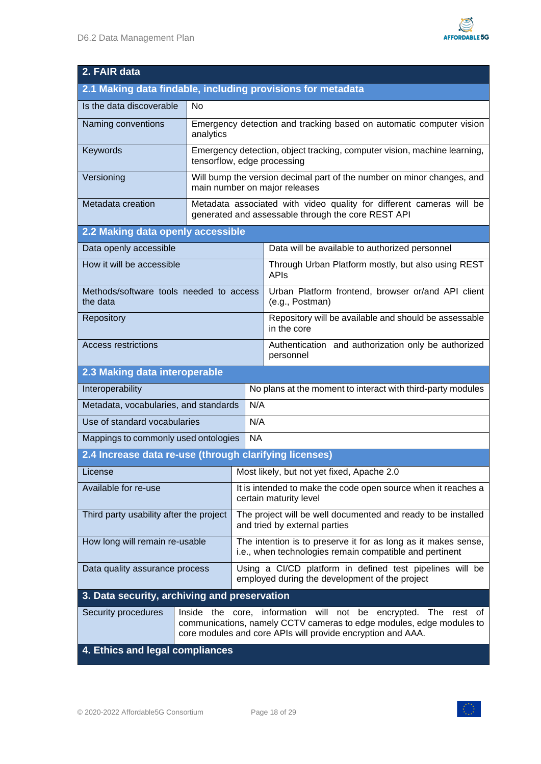| 2. FAIR data                                                |                                                                                                                                                                                                           |                                                                                         |                                                                                                                            |  |  |
|-------------------------------------------------------------|-----------------------------------------------------------------------------------------------------------------------------------------------------------------------------------------------------------|-----------------------------------------------------------------------------------------|----------------------------------------------------------------------------------------------------------------------------|--|--|
| 2.1 Making data findable, including provisions for metadata |                                                                                                                                                                                                           |                                                                                         |                                                                                                                            |  |  |
| Is the data discoverable                                    | No                                                                                                                                                                                                        |                                                                                         |                                                                                                                            |  |  |
| Naming conventions                                          | analytics                                                                                                                                                                                                 |                                                                                         | Emergency detection and tracking based on automatic computer vision                                                        |  |  |
| Keywords                                                    | tensorflow, edge processing                                                                                                                                                                               |                                                                                         | Emergency detection, object tracking, computer vision, machine learning,                                                   |  |  |
| Versioning                                                  |                                                                                                                                                                                                           |                                                                                         | Will bump the version decimal part of the number on minor changes, and<br>main number on major releases                    |  |  |
| Metadata creation                                           |                                                                                                                                                                                                           |                                                                                         | Metadata associated with video quality for different cameras will be<br>generated and assessable through the core REST API |  |  |
| 2.2 Making data openly accessible                           |                                                                                                                                                                                                           |                                                                                         |                                                                                                                            |  |  |
| Data openly accessible                                      |                                                                                                                                                                                                           |                                                                                         | Data will be available to authorized personnel                                                                             |  |  |
| How it will be accessible                                   |                                                                                                                                                                                                           |                                                                                         | Through Urban Platform mostly, but also using REST<br><b>APIS</b>                                                          |  |  |
| Methods/software tools needed to access<br>the data         |                                                                                                                                                                                                           |                                                                                         | Urban Platform frontend, browser or/and API client<br>(e.g., Postman)                                                      |  |  |
| Repository                                                  |                                                                                                                                                                                                           |                                                                                         | Repository will be available and should be assessable<br>in the core                                                       |  |  |
| <b>Access restrictions</b>                                  |                                                                                                                                                                                                           |                                                                                         | Authentication and authorization only be authorized<br>personnel                                                           |  |  |
| 2.3 Making data interoperable                               |                                                                                                                                                                                                           |                                                                                         |                                                                                                                            |  |  |
| Interoperability                                            |                                                                                                                                                                                                           |                                                                                         | No plans at the moment to interact with third-party modules                                                                |  |  |
| N/A<br>Metadata, vocabularies, and standards                |                                                                                                                                                                                                           |                                                                                         |                                                                                                                            |  |  |
| Use of standard vocabularies                                |                                                                                                                                                                                                           | N/A                                                                                     |                                                                                                                            |  |  |
| <b>NA</b><br>Mappings to commonly used ontologies           |                                                                                                                                                                                                           |                                                                                         |                                                                                                                            |  |  |
| 2.4 Increase data re-use (through clarifying licenses)      |                                                                                                                                                                                                           |                                                                                         |                                                                                                                            |  |  |
| License                                                     |                                                                                                                                                                                                           | Most likely, but not yet fixed, Apache 2.0                                              |                                                                                                                            |  |  |
| Available for re-use                                        |                                                                                                                                                                                                           | It is intended to make the code open source when it reaches a<br>certain maturity level |                                                                                                                            |  |  |
| Third party usability after the project                     |                                                                                                                                                                                                           |                                                                                         | The project will be well documented and ready to be installed<br>and tried by external parties                             |  |  |
| How long will remain re-usable                              |                                                                                                                                                                                                           |                                                                                         | The intention is to preserve it for as long as it makes sense,<br>i.e., when technologies remain compatible and pertinent  |  |  |
| Data quality assurance process                              |                                                                                                                                                                                                           |                                                                                         | Using a CI/CD platform in defined test pipelines will be<br>employed during the development of the project                 |  |  |
| 3. Data security, archiving and preservation                |                                                                                                                                                                                                           |                                                                                         |                                                                                                                            |  |  |
| Security procedures                                         | Inside the core, information will not be<br>encrypted. The rest of<br>communications, namely CCTV cameras to edge modules, edge modules to<br>core modules and core APIs will provide encryption and AAA. |                                                                                         |                                                                                                                            |  |  |
| 4. Ethics and legal compliances                             |                                                                                                                                                                                                           |                                                                                         |                                                                                                                            |  |  |

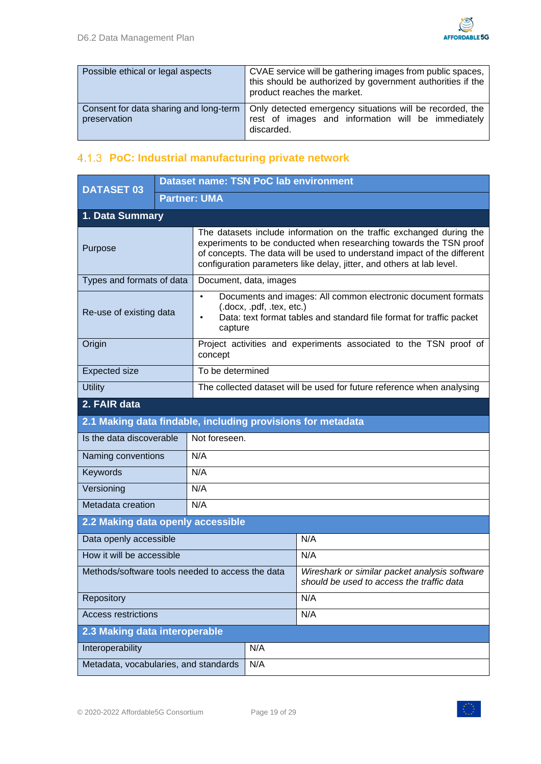

| Possible ethical or legal aspects                      | CVAE service will be gathering images from public spaces,<br>this should be authorized by government authorities if the<br>product reaches the market. |
|--------------------------------------------------------|--------------------------------------------------------------------------------------------------------------------------------------------------------|
| Consent for data sharing and long-term<br>preservation | Only detected emergency situations will be recorded, the<br>rest of images and information will be immediately<br>discarded.                           |

### <span id="page-18-0"></span>**PoC: Industrial manufacturing private network**

| <b>DATASET 03</b>                                           |                                   | <b>Dataset name: TSN PoC lab environment</b>                           |                                                                                                                                                                                                                                                                                                 |                                                                                            |  |  |
|-------------------------------------------------------------|-----------------------------------|------------------------------------------------------------------------|-------------------------------------------------------------------------------------------------------------------------------------------------------------------------------------------------------------------------------------------------------------------------------------------------|--------------------------------------------------------------------------------------------|--|--|
|                                                             |                                   | <b>Partner: UMA</b>                                                    |                                                                                                                                                                                                                                                                                                 |                                                                                            |  |  |
| 1. Data Summary                                             |                                   |                                                                        |                                                                                                                                                                                                                                                                                                 |                                                                                            |  |  |
| Purpose                                                     |                                   |                                                                        | The datasets include information on the traffic exchanged during the<br>experiments to be conducted when researching towards the TSN proof<br>of concepts. The data will be used to understand impact of the different<br>configuration parameters like delay, jitter, and others at lab level. |                                                                                            |  |  |
| Types and formats of data                                   |                                   |                                                                        | Document, data, images                                                                                                                                                                                                                                                                          |                                                                                            |  |  |
| Re-use of existing data                                     |                                   | $\bullet$<br>$\bullet$                                                 | Documents and images: All common electronic document formats<br>(.docx, .pdf, .tex, etc.)<br>Data: text format tables and standard file format for traffic packet<br>capture                                                                                                                    |                                                                                            |  |  |
| Origin                                                      |                                   | concept                                                                | Project activities and experiments associated to the TSN proof of                                                                                                                                                                                                                               |                                                                                            |  |  |
| <b>Expected size</b>                                        |                                   |                                                                        | To be determined                                                                                                                                                                                                                                                                                |                                                                                            |  |  |
| <b>Utility</b>                                              |                                   | The collected dataset will be used for future reference when analysing |                                                                                                                                                                                                                                                                                                 |                                                                                            |  |  |
| 2. FAIR data                                                |                                   |                                                                        |                                                                                                                                                                                                                                                                                                 |                                                                                            |  |  |
| 2.1 Making data findable, including provisions for metadata |                                   |                                                                        |                                                                                                                                                                                                                                                                                                 |                                                                                            |  |  |
| Is the data discoverable                                    | Not foreseen.                     |                                                                        |                                                                                                                                                                                                                                                                                                 |                                                                                            |  |  |
| Naming conventions                                          |                                   | N/A                                                                    |                                                                                                                                                                                                                                                                                                 |                                                                                            |  |  |
| Keywords                                                    |                                   | N/A                                                                    |                                                                                                                                                                                                                                                                                                 |                                                                                            |  |  |
| Versioning                                                  |                                   | N/A                                                                    |                                                                                                                                                                                                                                                                                                 |                                                                                            |  |  |
| Metadata creation                                           |                                   | N/A                                                                    |                                                                                                                                                                                                                                                                                                 |                                                                                            |  |  |
|                                                             | 2.2 Making data openly accessible |                                                                        |                                                                                                                                                                                                                                                                                                 |                                                                                            |  |  |
| Data openly accessible                                      |                                   |                                                                        |                                                                                                                                                                                                                                                                                                 | N/A                                                                                        |  |  |
| How it will be accessible                                   |                                   |                                                                        |                                                                                                                                                                                                                                                                                                 | N/A                                                                                        |  |  |
| Methods/software tools needed to access the data            |                                   |                                                                        |                                                                                                                                                                                                                                                                                                 | Wireshark or similar packet analysis software<br>should be used to access the traffic data |  |  |
| Repository                                                  |                                   |                                                                        |                                                                                                                                                                                                                                                                                                 | N/A                                                                                        |  |  |
| <b>Access restrictions</b>                                  |                                   |                                                                        |                                                                                                                                                                                                                                                                                                 | N/A                                                                                        |  |  |
| 2.3 Making data interoperable                               |                                   |                                                                        |                                                                                                                                                                                                                                                                                                 |                                                                                            |  |  |
| Interoperability                                            |                                   |                                                                        | N/A                                                                                                                                                                                                                                                                                             |                                                                                            |  |  |
| Metadata, vocabularies, and standards                       |                                   |                                                                        | N/A                                                                                                                                                                                                                                                                                             |                                                                                            |  |  |

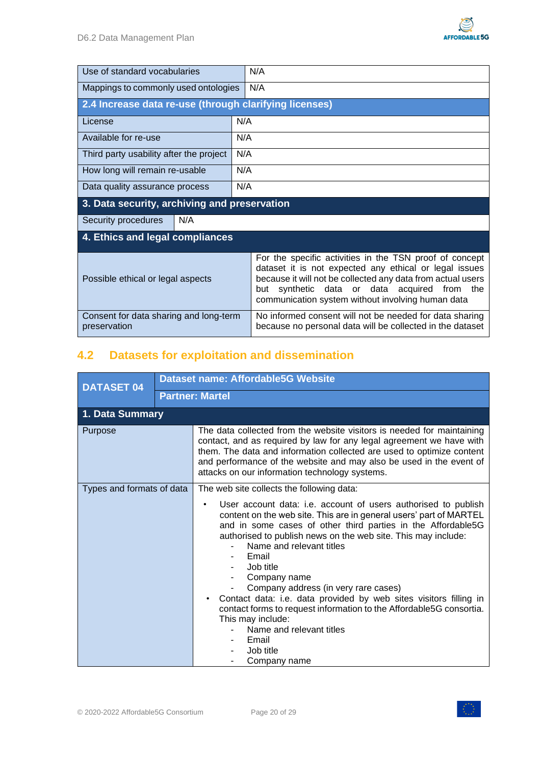

| Use of standard vocabularies                           | N/A                                                                                                                                                                                                                                                                                      |  |  |  |
|--------------------------------------------------------|------------------------------------------------------------------------------------------------------------------------------------------------------------------------------------------------------------------------------------------------------------------------------------------|--|--|--|
| Mappings to commonly used ontologies                   | N/A                                                                                                                                                                                                                                                                                      |  |  |  |
| 2.4 Increase data re-use (through clarifying licenses) |                                                                                                                                                                                                                                                                                          |  |  |  |
| License                                                | N/A                                                                                                                                                                                                                                                                                      |  |  |  |
| Available for re-use                                   | N/A                                                                                                                                                                                                                                                                                      |  |  |  |
| Third party usability after the project                | N/A                                                                                                                                                                                                                                                                                      |  |  |  |
| How long will remain re-usable                         | N/A                                                                                                                                                                                                                                                                                      |  |  |  |
| Data quality assurance process                         | N/A                                                                                                                                                                                                                                                                                      |  |  |  |
| 3. Data security, archiving and preservation           |                                                                                                                                                                                                                                                                                          |  |  |  |
| N/A<br>Security procedures                             |                                                                                                                                                                                                                                                                                          |  |  |  |
| 4. Ethics and legal compliances                        |                                                                                                                                                                                                                                                                                          |  |  |  |
| Possible ethical or legal aspects                      | For the specific activities in the TSN proof of concept<br>dataset it is not expected any ethical or legal issues<br>because it will not be collected any data from actual users<br>synthetic data or data acquired from the<br>but<br>communication system without involving human data |  |  |  |
| Consent for data sharing and long-term<br>preservation | No informed consent will not be needed for data sharing<br>because no personal data will be collected in the dataset                                                                                                                                                                     |  |  |  |

# <span id="page-19-0"></span>**4.2 Datasets for exploitation and dissemination**

| <b>DATASET 04</b>         |  | <b>Dataset name: Affordable5G Website</b>                                                                                                                                                                                                                                                                                                                                                                                                                                                                                                                                                                                                                       |  |  |  |
|---------------------------|--|-----------------------------------------------------------------------------------------------------------------------------------------------------------------------------------------------------------------------------------------------------------------------------------------------------------------------------------------------------------------------------------------------------------------------------------------------------------------------------------------------------------------------------------------------------------------------------------------------------------------------------------------------------------------|--|--|--|
|                           |  | <b>Partner: Martel</b>                                                                                                                                                                                                                                                                                                                                                                                                                                                                                                                                                                                                                                          |  |  |  |
| 1. Data Summary           |  |                                                                                                                                                                                                                                                                                                                                                                                                                                                                                                                                                                                                                                                                 |  |  |  |
| Purpose                   |  | The data collected from the website visitors is needed for maintaining<br>contact, and as required by law for any legal agreement we have with<br>them. The data and information collected are used to optimize content<br>and performance of the website and may also be used in the event of<br>attacks on our information technology systems.                                                                                                                                                                                                                                                                                                                |  |  |  |
| Types and formats of data |  | The web site collects the following data:<br>User account data: i.e. account of users authorised to publish<br>content on the web site. This are in general users' part of MARTEL<br>and in some cases of other third parties in the Affordable5G<br>authorised to publish news on the web site. This may include:<br>Name and relevant titles<br>Email<br>Job title<br>Company name<br>Company address (in very rare cases)<br>Contact data: i.e. data provided by web sites visitors filling in<br>contact forms to request information to the Affordable5G consortia.<br>This may include:<br>Name and relevant titles<br>Email<br>Job title<br>Company name |  |  |  |

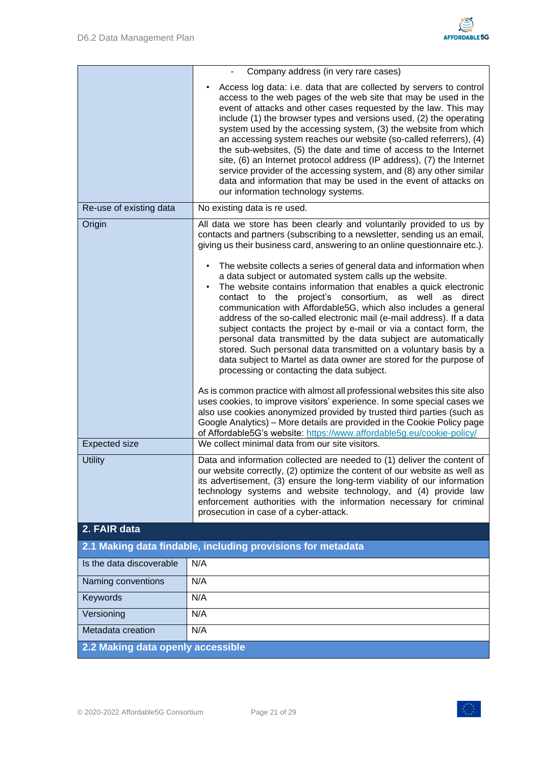

|                                   | Company address (in very rare cases)                                                                                                                                                                                                                                                                                                                                                                                                                                                                                                                                                                                                                                                                                                                     |
|-----------------------------------|----------------------------------------------------------------------------------------------------------------------------------------------------------------------------------------------------------------------------------------------------------------------------------------------------------------------------------------------------------------------------------------------------------------------------------------------------------------------------------------------------------------------------------------------------------------------------------------------------------------------------------------------------------------------------------------------------------------------------------------------------------|
|                                   | Access log data: i.e. data that are collected by servers to control<br>access to the web pages of the web site that may be used in the<br>event of attacks and other cases requested by the law. This may<br>include (1) the browser types and versions used, (2) the operating<br>system used by the accessing system, (3) the website from which<br>an accessing system reaches our website (so-called referrers), (4)<br>the sub-websites, (5) the date and time of access to the Internet<br>site, (6) an Internet protocol address (IP address), (7) the Internet<br>service provider of the accessing system, and (8) any other similar<br>data and information that may be used in the event of attacks on<br>our information technology systems. |
| Re-use of existing data           | No existing data is re used.                                                                                                                                                                                                                                                                                                                                                                                                                                                                                                                                                                                                                                                                                                                             |
| Origin                            | All data we store has been clearly and voluntarily provided to us by<br>contacts and partners (subscribing to a newsletter, sending us an email,<br>giving us their business card, answering to an online questionnaire etc.).<br>The website collects a series of general data and information when<br>a data subject or automated system calls up the website.<br>The website contains information that enables a quick electronic<br>contact to the project's consortium, as well as<br>direct<br>communication with Affordable5G, which also includes a general<br>address of the so-called electronic mail (e-mail address). If a data                                                                                                              |
|                                   | subject contacts the project by e-mail or via a contact form, the<br>personal data transmitted by the data subject are automatically<br>stored. Such personal data transmitted on a voluntary basis by a<br>data subject to Martel as data owner are stored for the purpose of<br>processing or contacting the data subject.<br>As is common practice with almost all professional websites this site also<br>uses cookies, to improve visitors' experience. In some special cases we<br>also use cookies anonymized provided by trusted third parties (such as<br>Google Analytics) – More details are provided in the Cookie Policy page<br>of Affordable5G's website: https://www.affordable5g.eu/cookie-policy/                                      |
| <b>Expected size</b>              | We collect minimal data from our site visitors.                                                                                                                                                                                                                                                                                                                                                                                                                                                                                                                                                                                                                                                                                                          |
| <b>Utility</b>                    | Data and information collected are needed to (1) deliver the content of<br>our website correctly, (2) optimize the content of our website as well as<br>its advertisement, (3) ensure the long-term viability of our information<br>technology systems and website technology, and (4) provide law<br>enforcement authorities with the information necessary for criminal<br>prosecution in case of a cyber-attack.                                                                                                                                                                                                                                                                                                                                      |
| 2. FAIR data                      |                                                                                                                                                                                                                                                                                                                                                                                                                                                                                                                                                                                                                                                                                                                                                          |
|                                   | 2.1 Making data findable, including provisions for metadata                                                                                                                                                                                                                                                                                                                                                                                                                                                                                                                                                                                                                                                                                              |
| Is the data discoverable          | N/A                                                                                                                                                                                                                                                                                                                                                                                                                                                                                                                                                                                                                                                                                                                                                      |
| Naming conventions                | N/A                                                                                                                                                                                                                                                                                                                                                                                                                                                                                                                                                                                                                                                                                                                                                      |
| Keywords                          | N/A                                                                                                                                                                                                                                                                                                                                                                                                                                                                                                                                                                                                                                                                                                                                                      |
| Versioning                        | N/A                                                                                                                                                                                                                                                                                                                                                                                                                                                                                                                                                                                                                                                                                                                                                      |
| Metadata creation                 | N/A                                                                                                                                                                                                                                                                                                                                                                                                                                                                                                                                                                                                                                                                                                                                                      |
| 2.2 Making data openly accessible |                                                                                                                                                                                                                                                                                                                                                                                                                                                                                                                                                                                                                                                                                                                                                          |

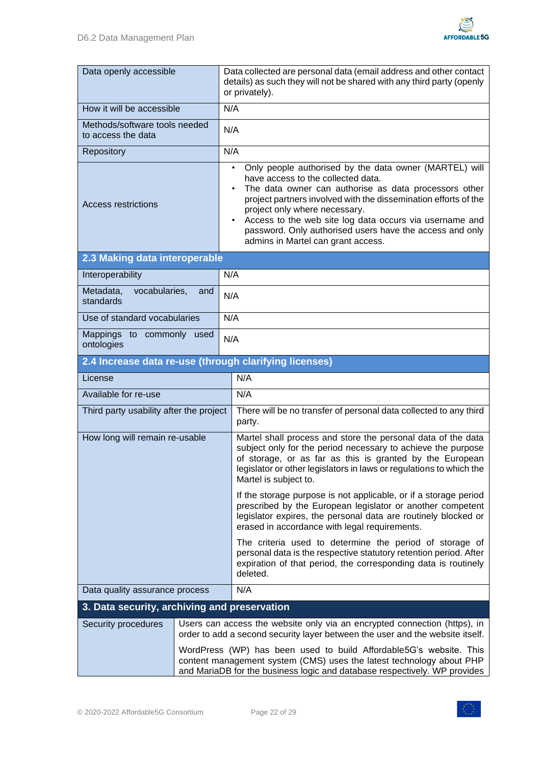

| Data openly accessible                                 |                                                                                                                                                                                                                         | Data collected are personal data (email address and other contact<br>details) as such they will not be shared with any third party (openly<br>or privately).                                                                                                                                                                                                                                                                |  |
|--------------------------------------------------------|-------------------------------------------------------------------------------------------------------------------------------------------------------------------------------------------------------------------------|-----------------------------------------------------------------------------------------------------------------------------------------------------------------------------------------------------------------------------------------------------------------------------------------------------------------------------------------------------------------------------------------------------------------------------|--|
| How it will be accessible                              | N/A                                                                                                                                                                                                                     |                                                                                                                                                                                                                                                                                                                                                                                                                             |  |
| Methods/software tools needed<br>to access the data    | N/A                                                                                                                                                                                                                     |                                                                                                                                                                                                                                                                                                                                                                                                                             |  |
| Repository                                             | N/A                                                                                                                                                                                                                     |                                                                                                                                                                                                                                                                                                                                                                                                                             |  |
| Access restrictions                                    |                                                                                                                                                                                                                         | Only people authorised by the data owner (MARTEL) will<br>٠<br>have access to the collected data.<br>The data owner can authorise as data processors other<br>project partners involved with the dissemination efforts of the<br>project only where necessary.<br>Access to the web site log data occurs via username and<br>password. Only authorised users have the access and only<br>admins in Martel can grant access. |  |
| 2.3 Making data interoperable                          |                                                                                                                                                                                                                         |                                                                                                                                                                                                                                                                                                                                                                                                                             |  |
| Interoperability                                       | N/A                                                                                                                                                                                                                     |                                                                                                                                                                                                                                                                                                                                                                                                                             |  |
| Metadata,<br>vocabularies,<br>and<br>standards         | N/A                                                                                                                                                                                                                     |                                                                                                                                                                                                                                                                                                                                                                                                                             |  |
| Use of standard vocabularies                           | N/A                                                                                                                                                                                                                     |                                                                                                                                                                                                                                                                                                                                                                                                                             |  |
| Mappings to commonly used<br>N/A<br>ontologies         |                                                                                                                                                                                                                         |                                                                                                                                                                                                                                                                                                                                                                                                                             |  |
| 2.4 Increase data re-use (through clarifying licenses) |                                                                                                                                                                                                                         |                                                                                                                                                                                                                                                                                                                                                                                                                             |  |
| License                                                |                                                                                                                                                                                                                         | N/A                                                                                                                                                                                                                                                                                                                                                                                                                         |  |
| Available for re-use                                   |                                                                                                                                                                                                                         | N/A                                                                                                                                                                                                                                                                                                                                                                                                                         |  |
| Third party usability after the project                |                                                                                                                                                                                                                         | There will be no transfer of personal data collected to any third<br>party.                                                                                                                                                                                                                                                                                                                                                 |  |
| How long will remain re-usable                         |                                                                                                                                                                                                                         | Martel shall process and store the personal data of the data<br>subject only for the period necessary to achieve the purpose<br>of storage, or as far as this is granted by the European<br>legislator or other legislators in laws or regulations to which the<br>Martel is subject to.                                                                                                                                    |  |
|                                                        |                                                                                                                                                                                                                         | If the storage purpose is not applicable, or if a storage period<br>prescribed by the European legislator or another competent<br>legislator expires, the personal data are routinely blocked or<br>erased in accordance with legal requirements.                                                                                                                                                                           |  |
|                                                        |                                                                                                                                                                                                                         | The criteria used to determine the period of storage of<br>personal data is the respective statutory retention period. After<br>expiration of that period, the corresponding data is routinely<br>deleted.                                                                                                                                                                                                                  |  |
| Data quality assurance process                         |                                                                                                                                                                                                                         | N/A                                                                                                                                                                                                                                                                                                                                                                                                                         |  |
| 3. Data security, archiving and preservation           |                                                                                                                                                                                                                         |                                                                                                                                                                                                                                                                                                                                                                                                                             |  |
| Security procedures                                    |                                                                                                                                                                                                                         | Users can access the website only via an encrypted connection (https), in<br>order to add a second security layer between the user and the website itself.                                                                                                                                                                                                                                                                  |  |
|                                                        | WordPress (WP) has been used to build Affordable5G's website. This<br>content management system (CMS) uses the latest technology about PHP<br>and MariaDB for the business logic and database respectively. WP provides |                                                                                                                                                                                                                                                                                                                                                                                                                             |  |

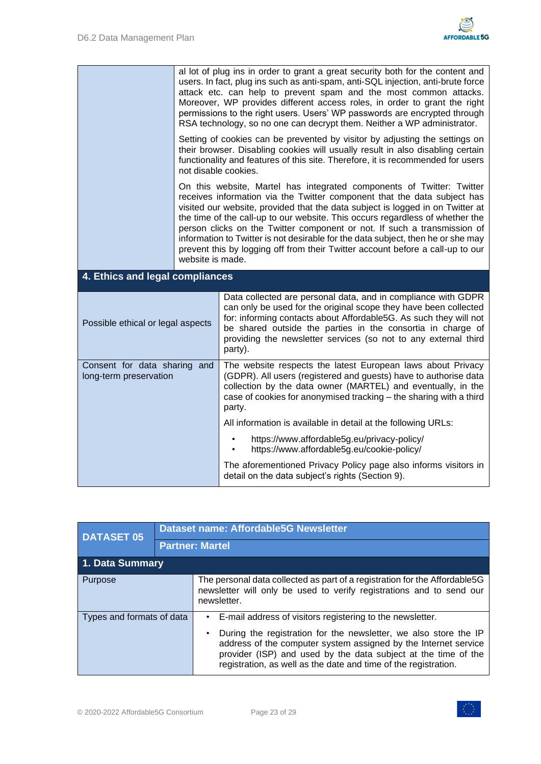

|                                                        | al lot of plug ins in order to grant a great security both for the content and<br>users. In fact, plug ins such as anti-spam, anti-SQL injection, anti-brute force<br>attack etc. can help to prevent spam and the most common attacks.<br>Moreover, WP provides different access roles, in order to grant the right                                                                                                                                                                                                                                                                       |                                                                                                                                                                                                                                                                                                                                                     |  |
|--------------------------------------------------------|--------------------------------------------------------------------------------------------------------------------------------------------------------------------------------------------------------------------------------------------------------------------------------------------------------------------------------------------------------------------------------------------------------------------------------------------------------------------------------------------------------------------------------------------------------------------------------------------|-----------------------------------------------------------------------------------------------------------------------------------------------------------------------------------------------------------------------------------------------------------------------------------------------------------------------------------------------------|--|
|                                                        | permissions to the right users. Users' WP passwords are encrypted through<br>RSA technology, so no one can decrypt them. Neither a WP administrator.                                                                                                                                                                                                                                                                                                                                                                                                                                       |                                                                                                                                                                                                                                                                                                                                                     |  |
|                                                        | Setting of cookies can be prevented by visitor by adjusting the settings on<br>their browser. Disabling cookies will usually result in also disabling certain<br>functionality and features of this site. Therefore, it is recommended for users<br>not disable cookies.                                                                                                                                                                                                                                                                                                                   |                                                                                                                                                                                                                                                                                                                                                     |  |
|                                                        | On this website, Martel has integrated components of Twitter: Twitter<br>receives information via the Twitter component that the data subject has<br>visited our website, provided that the data subject is logged in on Twitter at<br>the time of the call-up to our website. This occurs regardless of whether the<br>person clicks on the Twitter component or not. If such a transmission of<br>information to Twitter is not desirable for the data subject, then he or she may<br>prevent this by logging off from their Twitter account before a call-up to our<br>website is made. |                                                                                                                                                                                                                                                                                                                                                     |  |
| 4. Ethics and legal compliances                        |                                                                                                                                                                                                                                                                                                                                                                                                                                                                                                                                                                                            |                                                                                                                                                                                                                                                                                                                                                     |  |
| Possible ethical or legal aspects                      |                                                                                                                                                                                                                                                                                                                                                                                                                                                                                                                                                                                            | Data collected are personal data, and in compliance with GDPR<br>can only be used for the original scope they have been collected<br>for: informing contacts about Affordable5G. As such they will not<br>be shared outside the parties in the consortia in charge of<br>providing the newsletter services (so not to any external third<br>party). |  |
|                                                        |                                                                                                                                                                                                                                                                                                                                                                                                                                                                                                                                                                                            |                                                                                                                                                                                                                                                                                                                                                     |  |
| Consent for data sharing and<br>long-term preservation |                                                                                                                                                                                                                                                                                                                                                                                                                                                                                                                                                                                            | The website respects the latest European laws about Privacy<br>(GDPR). All users (registered and guests) have to authorise data<br>collection by the data owner (MARTEL) and eventually, in the<br>case of cookies for anonymised tracking - the sharing with a third<br>party.                                                                     |  |
|                                                        |                                                                                                                                                                                                                                                                                                                                                                                                                                                                                                                                                                                            | All information is available in detail at the following URLs:                                                                                                                                                                                                                                                                                       |  |
|                                                        |                                                                                                                                                                                                                                                                                                                                                                                                                                                                                                                                                                                            | https://www.affordable5g.eu/privacy-policy/<br>https://www.affordable5g.eu/cookie-policy/                                                                                                                                                                                                                                                           |  |

| <b>DATASET 05</b>         |  | Dataset name: Affordable5G Newsletter                                                                                                                                                                                                                                                                                                              |  |  |
|---------------------------|--|----------------------------------------------------------------------------------------------------------------------------------------------------------------------------------------------------------------------------------------------------------------------------------------------------------------------------------------------------|--|--|
|                           |  | <b>Partner: Martel</b>                                                                                                                                                                                                                                                                                                                             |  |  |
| 1. Data Summary           |  |                                                                                                                                                                                                                                                                                                                                                    |  |  |
| Purpose                   |  | The personal data collected as part of a registration for the Affordable5G<br>newsletter will only be used to verify registrations and to send our<br>newsletter.                                                                                                                                                                                  |  |  |
| Types and formats of data |  | E-mail address of visitors registering to the newsletter.<br>$\bullet$<br>During the registration for the newsletter, we also store the IP<br>address of the computer system assigned by the Internet service<br>provider (ISP) and used by the data subject at the time of the<br>registration, as well as the date and time of the registration. |  |  |

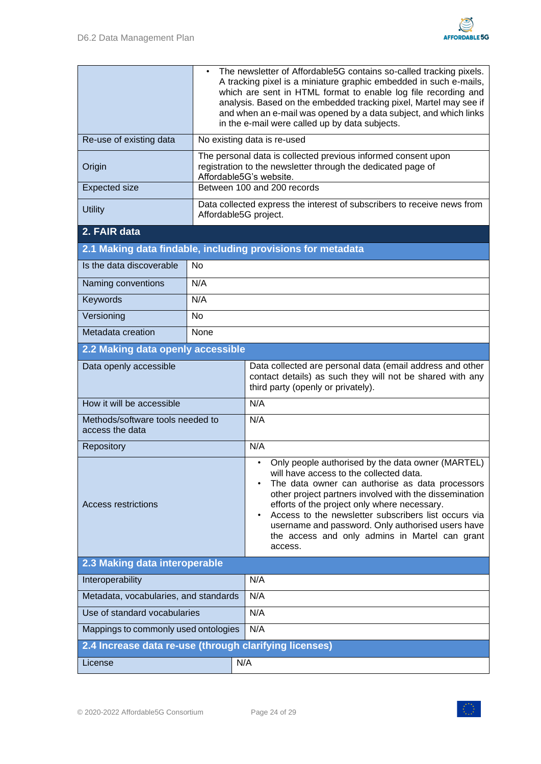

|                                                        | The newsletter of Affordable5G contains so-called tracking pixels.<br>$\bullet$<br>A tracking pixel is a miniature graphic embedded in such e-mails,<br>which are sent in HTML format to enable log file recording and<br>analysis. Based on the embedded tracking pixel, Martel may see if<br>and when an e-mail was opened by a data subject, and which links<br>in the e-mail were called up by data subjects. |                                                                                                                                                                                                                                                                                                                                                                                                                                     |  |  |
|--------------------------------------------------------|-------------------------------------------------------------------------------------------------------------------------------------------------------------------------------------------------------------------------------------------------------------------------------------------------------------------------------------------------------------------------------------------------------------------|-------------------------------------------------------------------------------------------------------------------------------------------------------------------------------------------------------------------------------------------------------------------------------------------------------------------------------------------------------------------------------------------------------------------------------------|--|--|
| Re-use of existing data                                |                                                                                                                                                                                                                                                                                                                                                                                                                   | No existing data is re-used                                                                                                                                                                                                                                                                                                                                                                                                         |  |  |
| Origin                                                 | The personal data is collected previous informed consent upon<br>registration to the newsletter through the dedicated page of<br>Affordable5G's website.                                                                                                                                                                                                                                                          |                                                                                                                                                                                                                                                                                                                                                                                                                                     |  |  |
| <b>Expected size</b>                                   | Between 100 and 200 records                                                                                                                                                                                                                                                                                                                                                                                       |                                                                                                                                                                                                                                                                                                                                                                                                                                     |  |  |
| <b>Utility</b>                                         | Data collected express the interest of subscribers to receive news from<br>Affordable5G project.                                                                                                                                                                                                                                                                                                                  |                                                                                                                                                                                                                                                                                                                                                                                                                                     |  |  |
| 2. FAIR data                                           |                                                                                                                                                                                                                                                                                                                                                                                                                   |                                                                                                                                                                                                                                                                                                                                                                                                                                     |  |  |
|                                                        |                                                                                                                                                                                                                                                                                                                                                                                                                   | 2.1 Making data findable, including provisions for metadata                                                                                                                                                                                                                                                                                                                                                                         |  |  |
| Is the data discoverable                               | <b>No</b>                                                                                                                                                                                                                                                                                                                                                                                                         |                                                                                                                                                                                                                                                                                                                                                                                                                                     |  |  |
| Naming conventions                                     | N/A                                                                                                                                                                                                                                                                                                                                                                                                               |                                                                                                                                                                                                                                                                                                                                                                                                                                     |  |  |
| Keywords                                               | N/A                                                                                                                                                                                                                                                                                                                                                                                                               |                                                                                                                                                                                                                                                                                                                                                                                                                                     |  |  |
| Versioning                                             | <b>No</b>                                                                                                                                                                                                                                                                                                                                                                                                         |                                                                                                                                                                                                                                                                                                                                                                                                                                     |  |  |
| Metadata creation                                      | None                                                                                                                                                                                                                                                                                                                                                                                                              |                                                                                                                                                                                                                                                                                                                                                                                                                                     |  |  |
| 2.2 Making data openly accessible                      |                                                                                                                                                                                                                                                                                                                                                                                                                   |                                                                                                                                                                                                                                                                                                                                                                                                                                     |  |  |
| Data openly accessible                                 |                                                                                                                                                                                                                                                                                                                                                                                                                   | Data collected are personal data (email address and other<br>contact details) as such they will not be shared with any<br>third party (openly or privately).                                                                                                                                                                                                                                                                        |  |  |
| How it will be accessible                              |                                                                                                                                                                                                                                                                                                                                                                                                                   | N/A                                                                                                                                                                                                                                                                                                                                                                                                                                 |  |  |
| Methods/software tools needed to<br>access the data    |                                                                                                                                                                                                                                                                                                                                                                                                                   | N/A                                                                                                                                                                                                                                                                                                                                                                                                                                 |  |  |
| Repository                                             |                                                                                                                                                                                                                                                                                                                                                                                                                   | N/A                                                                                                                                                                                                                                                                                                                                                                                                                                 |  |  |
| <b>Access restrictions</b>                             |                                                                                                                                                                                                                                                                                                                                                                                                                   | Only people authorised by the data owner (MARTEL)<br>will have access to the collected data.<br>The data owner can authorise as data processors<br>other project partners involved with the dissemination<br>efforts of the project only where necessary.<br>Access to the newsletter subscribers list occurs via<br>username and password. Only authorised users have<br>the access and only admins in Martel can grant<br>access. |  |  |
| 2.3 Making data interoperable                          |                                                                                                                                                                                                                                                                                                                                                                                                                   |                                                                                                                                                                                                                                                                                                                                                                                                                                     |  |  |
| Interoperability                                       |                                                                                                                                                                                                                                                                                                                                                                                                                   | N/A                                                                                                                                                                                                                                                                                                                                                                                                                                 |  |  |
| Metadata, vocabularies, and standards                  |                                                                                                                                                                                                                                                                                                                                                                                                                   | N/A                                                                                                                                                                                                                                                                                                                                                                                                                                 |  |  |
| Use of standard vocabularies                           |                                                                                                                                                                                                                                                                                                                                                                                                                   | N/A                                                                                                                                                                                                                                                                                                                                                                                                                                 |  |  |
| Mappings to commonly used ontologies                   |                                                                                                                                                                                                                                                                                                                                                                                                                   | N/A                                                                                                                                                                                                                                                                                                                                                                                                                                 |  |  |
| 2.4 Increase data re-use (through clarifying licenses) |                                                                                                                                                                                                                                                                                                                                                                                                                   |                                                                                                                                                                                                                                                                                                                                                                                                                                     |  |  |
| License                                                |                                                                                                                                                                                                                                                                                                                                                                                                                   | N/A                                                                                                                                                                                                                                                                                                                                                                                                                                 |  |  |

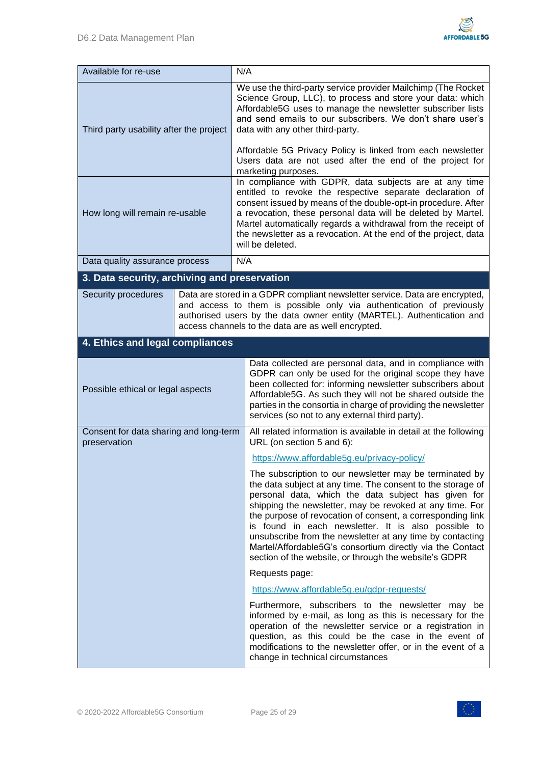

| Available for re-use                                   |                                                                                                                                                                                                                                                                                     | N/A                                                                                                                                                                                                                                                                                                                                                                                                                                                                                                                                               |  |  |
|--------------------------------------------------------|-------------------------------------------------------------------------------------------------------------------------------------------------------------------------------------------------------------------------------------------------------------------------------------|---------------------------------------------------------------------------------------------------------------------------------------------------------------------------------------------------------------------------------------------------------------------------------------------------------------------------------------------------------------------------------------------------------------------------------------------------------------------------------------------------------------------------------------------------|--|--|
| Third party usability after the project                |                                                                                                                                                                                                                                                                                     | We use the third-party service provider Mailchimp (The Rocket<br>Science Group, LLC), to process and store your data: which<br>Affordable5G uses to manage the newsletter subscriber lists<br>and send emails to our subscribers. We don't share user's<br>data with any other third-party.<br>Affordable 5G Privacy Policy is linked from each newsletter<br>Users data are not used after the end of the project for<br>marketing purposes.                                                                                                     |  |  |
| How long will remain re-usable                         |                                                                                                                                                                                                                                                                                     | In compliance with GDPR, data subjects are at any time<br>entitled to revoke the respective separate declaration of<br>consent issued by means of the double-opt-in procedure. After<br>a revocation, these personal data will be deleted by Martel.<br>Martel automatically regards a withdrawal from the receipt of<br>the newsletter as a revocation. At the end of the project, data<br>will be deleted.                                                                                                                                      |  |  |
| Data quality assurance process                         |                                                                                                                                                                                                                                                                                     | N/A                                                                                                                                                                                                                                                                                                                                                                                                                                                                                                                                               |  |  |
| 3. Data security, archiving and preservation           |                                                                                                                                                                                                                                                                                     |                                                                                                                                                                                                                                                                                                                                                                                                                                                                                                                                                   |  |  |
| Security procedures                                    | Data are stored in a GDPR compliant newsletter service. Data are encrypted,<br>and access to them is possible only via authentication of previously<br>authorised users by the data owner entity (MARTEL). Authentication and<br>access channels to the data are as well encrypted. |                                                                                                                                                                                                                                                                                                                                                                                                                                                                                                                                                   |  |  |
| 4. Ethics and legal compliances                        |                                                                                                                                                                                                                                                                                     |                                                                                                                                                                                                                                                                                                                                                                                                                                                                                                                                                   |  |  |
| Possible ethical or legal aspects                      |                                                                                                                                                                                                                                                                                     | Data collected are personal data, and in compliance with<br>GDPR can only be used for the original scope they have<br>been collected for: informing newsletter subscribers about<br>Affordable5G. As such they will not be shared outside the<br>parties in the consortia in charge of providing the newsletter<br>services (so not to any external third party).                                                                                                                                                                                 |  |  |
| Consent for data sharing and long-term<br>preservation |                                                                                                                                                                                                                                                                                     | All related information is available in detail at the following<br>URL (on section 5 and 6):                                                                                                                                                                                                                                                                                                                                                                                                                                                      |  |  |
|                                                        |                                                                                                                                                                                                                                                                                     | https://www.affordable5g.eu/privacy-policy/                                                                                                                                                                                                                                                                                                                                                                                                                                                                                                       |  |  |
|                                                        |                                                                                                                                                                                                                                                                                     | The subscription to our newsletter may be terminated by<br>the data subject at any time. The consent to the storage of<br>personal data, which the data subject has given for<br>shipping the newsletter, may be revoked at any time. For<br>the purpose of revocation of consent, a corresponding link<br>is found in each newsletter. It is also possible to<br>unsubscribe from the newsletter at any time by contacting<br>Martel/Affordable5G's consortium directly via the Contact<br>section of the website, or through the website's GDPR |  |  |
|                                                        |                                                                                                                                                                                                                                                                                     | Requests page:                                                                                                                                                                                                                                                                                                                                                                                                                                                                                                                                    |  |  |
|                                                        |                                                                                                                                                                                                                                                                                     | https://www.affordable5g.eu/gdpr-requests/                                                                                                                                                                                                                                                                                                                                                                                                                                                                                                        |  |  |
|                                                        |                                                                                                                                                                                                                                                                                     | Furthermore, subscribers to the newsletter may be<br>informed by e-mail, as long as this is necessary for the<br>operation of the newsletter service or a registration in<br>question, as this could be the case in the event of<br>modifications to the newsletter offer, or in the event of a<br>change in technical circumstances                                                                                                                                                                                                              |  |  |

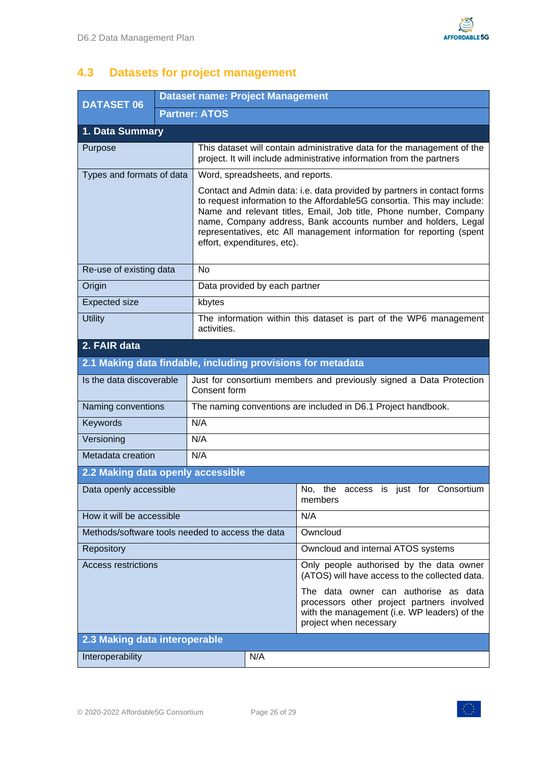

# <span id="page-25-0"></span>**4.3 Datasets for project management**

| <b>DATASET 06</b>                 |  | <b>Dataset name: Project Management</b><br><b>Partner: ATOS</b>                                                                                                                                                                                                                                                                                                                                  |                                                                                                                                                              |  |  |
|-----------------------------------|--|--------------------------------------------------------------------------------------------------------------------------------------------------------------------------------------------------------------------------------------------------------------------------------------------------------------------------------------------------------------------------------------------------|--------------------------------------------------------------------------------------------------------------------------------------------------------------|--|--|
|                                   |  |                                                                                                                                                                                                                                                                                                                                                                                                  |                                                                                                                                                              |  |  |
| 1. Data Summary                   |  |                                                                                                                                                                                                                                                                                                                                                                                                  |                                                                                                                                                              |  |  |
| Purpose                           |  |                                                                                                                                                                                                                                                                                                                                                                                                  | This dataset will contain administrative data for the management of the<br>project. It will include administrative information from the partners             |  |  |
| Types and formats of data         |  | Word, spreadsheets, and reports.                                                                                                                                                                                                                                                                                                                                                                 |                                                                                                                                                              |  |  |
|                                   |  | Contact and Admin data: i.e. data provided by partners in contact forms<br>to request information to the Affordable5G consortia. This may include:<br>Name and relevant titles, Email, Job title, Phone number, Company<br>name, Company address, Bank accounts number and holders, Legal<br>representatives, etc All management information for reporting (spent<br>effort, expenditures, etc). |                                                                                                                                                              |  |  |
| Re-use of existing data           |  | <b>No</b>                                                                                                                                                                                                                                                                                                                                                                                        |                                                                                                                                                              |  |  |
| Origin                            |  | Data provided by each partner                                                                                                                                                                                                                                                                                                                                                                    |                                                                                                                                                              |  |  |
| <b>Expected size</b>              |  | kbytes                                                                                                                                                                                                                                                                                                                                                                                           |                                                                                                                                                              |  |  |
| <b>Utility</b>                    |  | activities.                                                                                                                                                                                                                                                                                                                                                                                      | The information within this dataset is part of the WP6 management                                                                                            |  |  |
| 2. FAIR data                      |  |                                                                                                                                                                                                                                                                                                                                                                                                  |                                                                                                                                                              |  |  |
|                                   |  | 2.1 Making data findable, including provisions for metadata                                                                                                                                                                                                                                                                                                                                      |                                                                                                                                                              |  |  |
| Is the data discoverable          |  | Consent form                                                                                                                                                                                                                                                                                                                                                                                     | Just for consortium members and previously signed a Data Protection                                                                                          |  |  |
| Naming conventions                |  |                                                                                                                                                                                                                                                                                                                                                                                                  | The naming conventions are included in D6.1 Project handbook.                                                                                                |  |  |
| Keywords                          |  | N/A                                                                                                                                                                                                                                                                                                                                                                                              |                                                                                                                                                              |  |  |
| Versioning                        |  | N/A                                                                                                                                                                                                                                                                                                                                                                                              |                                                                                                                                                              |  |  |
| Metadata creation                 |  | N/A                                                                                                                                                                                                                                                                                                                                                                                              |                                                                                                                                                              |  |  |
| 2.2 Making data openly accessible |  |                                                                                                                                                                                                                                                                                                                                                                                                  |                                                                                                                                                              |  |  |
| Data openly accessible            |  |                                                                                                                                                                                                                                                                                                                                                                                                  | No, the access is just for Consortium<br>members                                                                                                             |  |  |
| How it will be accessible         |  |                                                                                                                                                                                                                                                                                                                                                                                                  | N/A                                                                                                                                                          |  |  |
|                                   |  | Methods/software tools needed to access the data                                                                                                                                                                                                                                                                                                                                                 | Owncloud                                                                                                                                                     |  |  |
| Repository                        |  |                                                                                                                                                                                                                                                                                                                                                                                                  | Owncloud and internal ATOS systems                                                                                                                           |  |  |
| <b>Access restrictions</b>        |  |                                                                                                                                                                                                                                                                                                                                                                                                  | Only people authorised by the data owner<br>(ATOS) will have access to the collected data.                                                                   |  |  |
|                                   |  |                                                                                                                                                                                                                                                                                                                                                                                                  | The data owner can authorise as data<br>processors other project partners involved<br>with the management (i.e. WP leaders) of the<br>project when necessary |  |  |
| 2.3 Making data interoperable     |  |                                                                                                                                                                                                                                                                                                                                                                                                  |                                                                                                                                                              |  |  |
| Interoperability                  |  | N/A                                                                                                                                                                                                                                                                                                                                                                                              |                                                                                                                                                              |  |  |

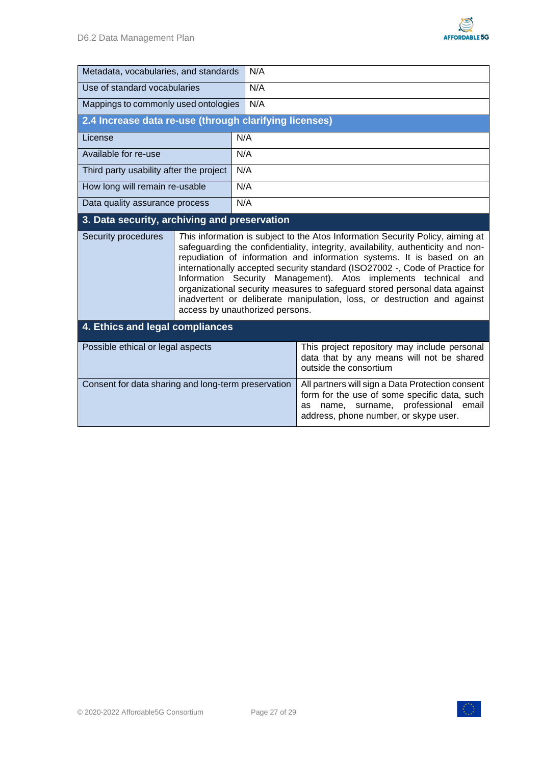

| Metadata, vocabularies, and standards                  |                                                                                                                                                                                                                                                                                                                                                                                                                                                                                                                                                                                                | N/A |                                                                                                                                                                                         |  |
|--------------------------------------------------------|------------------------------------------------------------------------------------------------------------------------------------------------------------------------------------------------------------------------------------------------------------------------------------------------------------------------------------------------------------------------------------------------------------------------------------------------------------------------------------------------------------------------------------------------------------------------------------------------|-----|-----------------------------------------------------------------------------------------------------------------------------------------------------------------------------------------|--|
| Use of standard vocabularies                           |                                                                                                                                                                                                                                                                                                                                                                                                                                                                                                                                                                                                | N/A |                                                                                                                                                                                         |  |
| Mappings to commonly used ontologies                   |                                                                                                                                                                                                                                                                                                                                                                                                                                                                                                                                                                                                | N/A |                                                                                                                                                                                         |  |
| 2.4 Increase data re-use (through clarifying licenses) |                                                                                                                                                                                                                                                                                                                                                                                                                                                                                                                                                                                                |     |                                                                                                                                                                                         |  |
| License                                                |                                                                                                                                                                                                                                                                                                                                                                                                                                                                                                                                                                                                | N/A |                                                                                                                                                                                         |  |
| Available for re-use                                   |                                                                                                                                                                                                                                                                                                                                                                                                                                                                                                                                                                                                | N/A |                                                                                                                                                                                         |  |
| Third party usability after the project                |                                                                                                                                                                                                                                                                                                                                                                                                                                                                                                                                                                                                | N/A |                                                                                                                                                                                         |  |
| How long will remain re-usable                         |                                                                                                                                                                                                                                                                                                                                                                                                                                                                                                                                                                                                | N/A |                                                                                                                                                                                         |  |
| Data quality assurance process                         |                                                                                                                                                                                                                                                                                                                                                                                                                                                                                                                                                                                                | N/A |                                                                                                                                                                                         |  |
| 3. Data security, archiving and preservation           |                                                                                                                                                                                                                                                                                                                                                                                                                                                                                                                                                                                                |     |                                                                                                                                                                                         |  |
| Security procedures                                    | This information is subject to the Atos Information Security Policy, aiming at<br>safeguarding the confidentiality, integrity, availability, authenticity and non-<br>repudiation of information and information systems. It is based on an<br>internationally accepted security standard (ISO27002 -, Code of Practice for<br>Information Security Management). Atos implements technical<br>and<br>organizational security measures to safeguard stored personal data against<br>inadvertent or deliberate manipulation, loss, or destruction and against<br>access by unauthorized persons. |     |                                                                                                                                                                                         |  |
| 4. Ethics and legal compliances                        |                                                                                                                                                                                                                                                                                                                                                                                                                                                                                                                                                                                                |     |                                                                                                                                                                                         |  |
| Possible ethical or legal aspects                      |                                                                                                                                                                                                                                                                                                                                                                                                                                                                                                                                                                                                |     | This project repository may include personal<br>data that by any means will not be shared<br>outside the consortium                                                                     |  |
| Consent for data sharing and long-term preservation    |                                                                                                                                                                                                                                                                                                                                                                                                                                                                                                                                                                                                |     | All partners will sign a Data Protection consent<br>form for the use of some specific data, such<br>surname, professional email<br>name,<br>as<br>address, phone number, or skype user. |  |



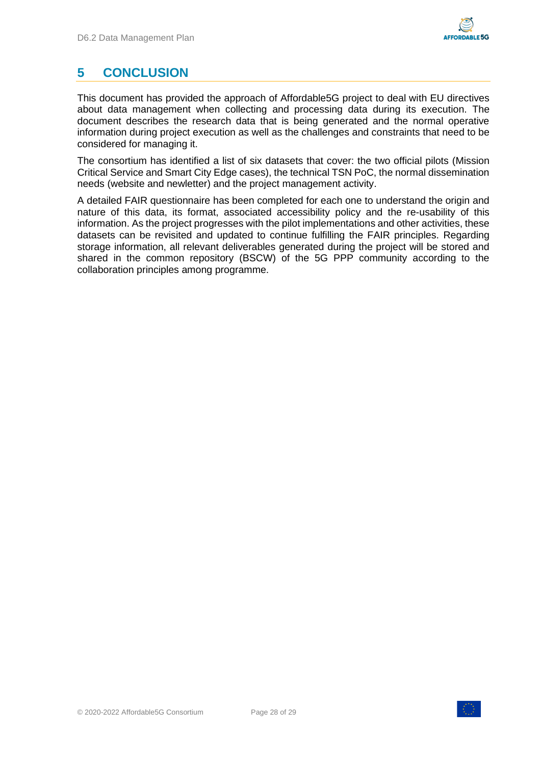# <span id="page-27-0"></span>**5 CONCLUSION**

This document has provided the approach of Affordable5G project to deal with EU directives about data management when collecting and processing data during its execution. The document describes the research data that is being generated and the normal operative information during project execution as well as the challenges and constraints that need to be considered for managing it.

The consortium has identified a list of six datasets that cover: the two official pilots (Mission Critical Service and Smart City Edge cases), the technical TSN PoC, the normal dissemination needs (website and newletter) and the project management activity.

A detailed FAIR questionnaire has been completed for each one to understand the origin and nature of this data, its format, associated accessibility policy and the re-usability of this information. As the project progresses with the pilot implementations and other activities, these datasets can be revisited and updated to continue fulfilling the FAIR principles. Regarding storage information, all relevant deliverables generated during the project will be stored and shared in the common repository (BSCW) of the 5G PPP community according to the collaboration principles among programme.